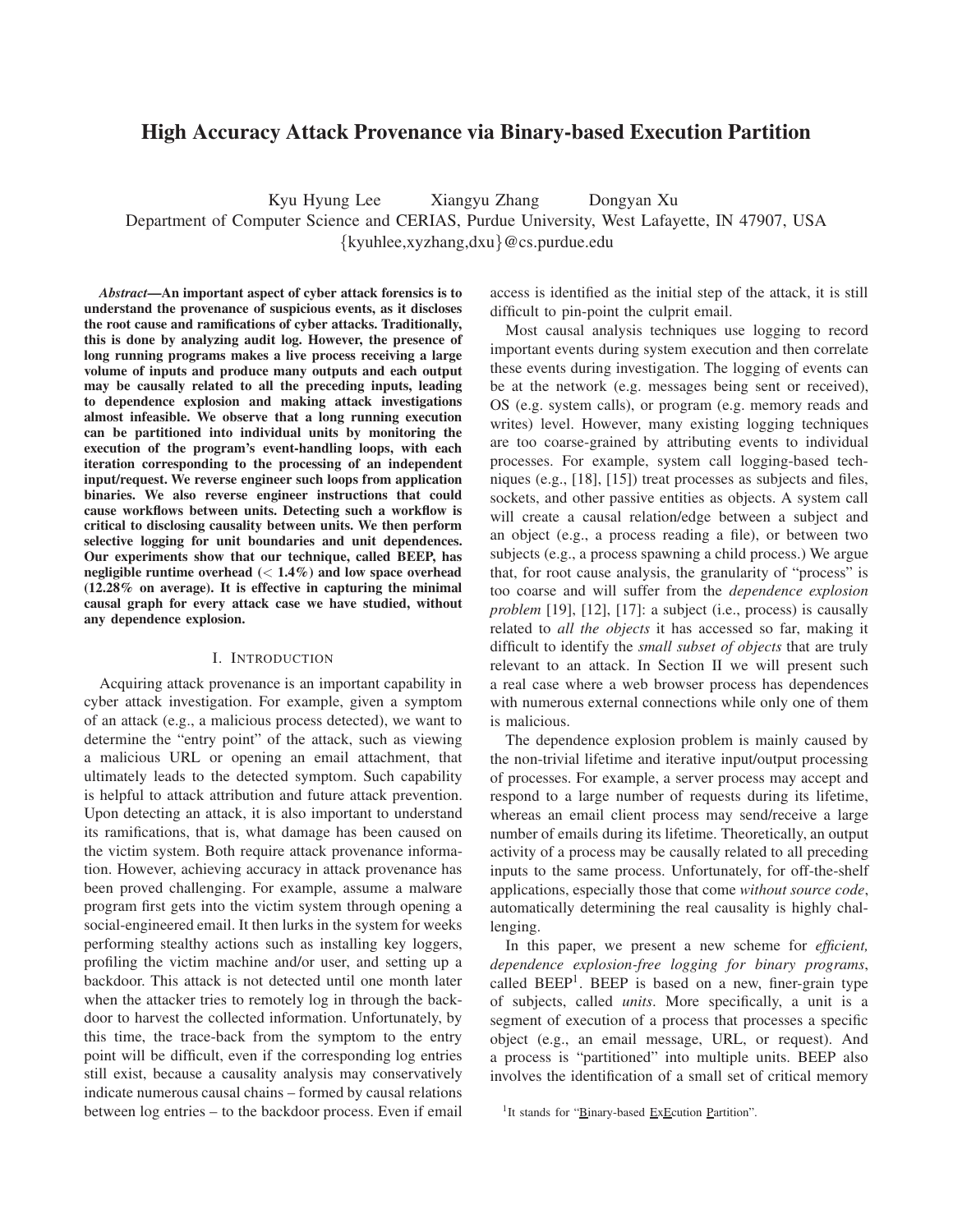# High Accuracy Attack Provenance via Binary-based Execution Partition

Kyu Hyung Lee Xiangyu Zhang Dongyan Xu

Department of Computer Science and CERIAS, Purdue University, West Lafayette, IN 47907, USA {kyuhlee,xyzhang,dxu}@cs.purdue.edu

*Abstract*—An important aspect of cyber attack forensics is to understand the provenance of suspicious events, as it discloses the root cause and ramifications of cyber attacks. Traditionally, this is done by analyzing audit log. However, the presence of long running programs makes a live process receiving a large volume of inputs and produce many outputs and each output may be causally related to all the preceding inputs, leading to dependence explosion and making attack investigations almost infeasible. We observe that a long running execution can be partitioned into individual units by monitoring the execution of the program's event-handling loops, with each iteration corresponding to the processing of an independent input/request. We reverse engineer such loops from application binaries. We also reverse engineer instructions that could cause workflows between units. Detecting such a workflow is critical to disclosing causality between units. We then perform selective logging for unit boundaries and unit dependences. Our experiments show that our technique, called BEEP, has negligible runtime overhead (< 1.4%) and low space overhead  $(12.28\%$  on average). It is effective in capturing the minimal causal graph for every attack case we have studied, without any dependence explosion.

## I. INTRODUCTION

Acquiring attack provenance is an important capability in cyber attack investigation. For example, given a symptom of an attack (e.g., a malicious process detected), we want to determine the "entry point" of the attack, such as viewing a malicious URL or opening an email attachment, that ultimately leads to the detected symptom. Such capability is helpful to attack attribution and future attack prevention. Upon detecting an attack, it is also important to understand its ramifications, that is, what damage has been caused on the victim system. Both require attack provenance information. However, achieving accuracy in attack provenance has been proved challenging. For example, assume a malware program first gets into the victim system through opening a social-engineered email. It then lurks in the system for weeks performing stealthy actions such as installing key loggers, profiling the victim machine and/or user, and setting up a backdoor. This attack is not detected until one month later when the attacker tries to remotely log in through the backdoor to harvest the collected information. Unfortunately, by this time, the trace-back from the symptom to the entry point will be difficult, even if the corresponding log entries still exist, because a causality analysis may conservatively indicate numerous causal chains – formed by causal relations between log entries – to the backdoor process. Even if email access is identified as the initial step of the attack, it is still difficult to pin-point the culprit email.

Most causal analysis techniques use logging to record important events during system execution and then correlate these events during investigation. The logging of events can be at the network (e.g. messages being sent or received), OS (e.g. system calls), or program (e.g. memory reads and writes) level. However, many existing logging techniques are too coarse-grained by attributing events to individual processes. For example, system call logging-based techniques (e.g., [18], [15]) treat processes as subjects and files, sockets, and other passive entities as objects. A system call will create a causal relation/edge between a subject and an object (e.g., a process reading a file), or between two subjects (e.g., a process spawning a child process.) We argue that, for root cause analysis, the granularity of "process" is too coarse and will suffer from the *dependence explosion problem* [19], [12], [17]: a subject (i.e., process) is causally related to *all the objects* it has accessed so far, making it difficult to identify the *small subset of objects* that are truly relevant to an attack. In Section II we will present such a real case where a web browser process has dependences with numerous external connections while only one of them is malicious.

The dependence explosion problem is mainly caused by the non-trivial lifetime and iterative input/output processing of processes. For example, a server process may accept and respond to a large number of requests during its lifetime, whereas an email client process may send/receive a large number of emails during its lifetime. Theoretically, an output activity of a process may be causally related to all preceding inputs to the same process. Unfortunately, for off-the-shelf applications, especially those that come *without source code*, automatically determining the real causality is highly challenging.

In this paper, we present a new scheme for *efficient, dependence explosion-free logging for binary programs*, called BEEP<sup>1</sup>. BEEP is based on a new, finer-grain type of subjects, called *units*. More specifically, a unit is a segment of execution of a process that processes a specific object (e.g., an email message, URL, or request). And a process is "partitioned" into multiple units. BEEP also involves the identification of a small set of critical memory

<sup>&</sup>lt;sup>1</sup>It stands for "Binary-based ExEcution Partition".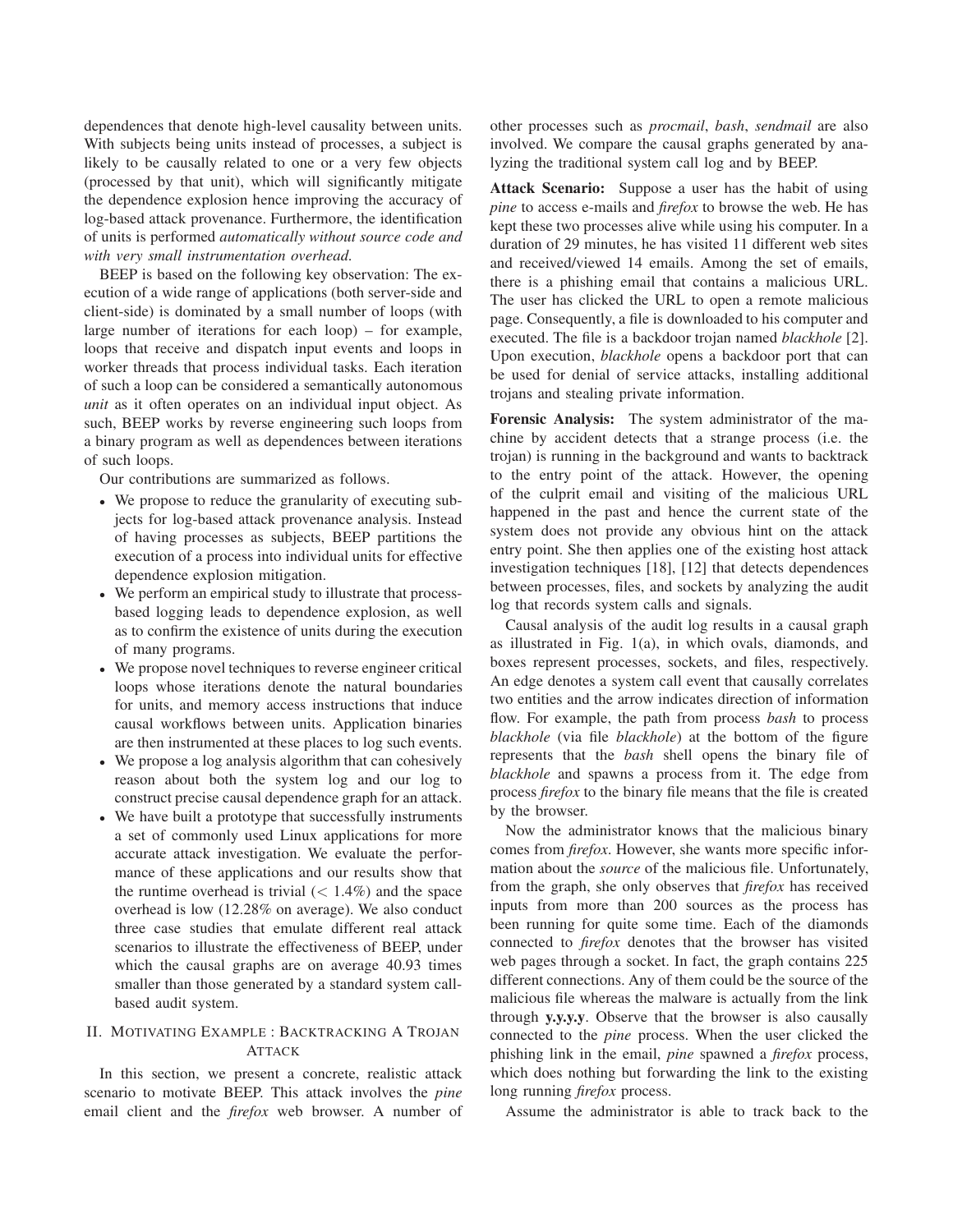dependences that denote high-level causality between units. With subjects being units instead of processes, a subject is likely to be causally related to one or a very few objects (processed by that unit), which will significantly mitigate the dependence explosion hence improving the accuracy of log-based attack provenance. Furthermore, the identification of units is performed *automatically without source code and with very small instrumentation overhead.*

BEEP is based on the following key observation: The execution of a wide range of applications (both server-side and client-side) is dominated by a small number of loops (with large number of iterations for each loop) – for example, loops that receive and dispatch input events and loops in worker threads that process individual tasks. Each iteration of such a loop can be considered a semantically autonomous *unit* as it often operates on an individual input object. As such, BEEP works by reverse engineering such loops from a binary program as well as dependences between iterations of such loops.

Our contributions are summarized as follows.

- We propose to reduce the granularity of executing subjects for log-based attack provenance analysis. Instead of having processes as subjects, BEEP partitions the execution of a process into individual units for effective dependence explosion mitigation.
- We perform an empirical study to illustrate that processbased logging leads to dependence explosion, as well as to confirm the existence of units during the execution of many programs.
- We propose novel techniques to reverse engineer critical loops whose iterations denote the natural boundaries for units, and memory access instructions that induce causal workflows between units. Application binaries are then instrumented at these places to log such events.
- We propose a log analysis algorithm that can cohesively reason about both the system log and our log to construct precise causal dependence graph for an attack.
- We have built a prototype that successfully instruments a set of commonly used Linux applications for more accurate attack investigation. We evaluate the performance of these applications and our results show that the runtime overhead is trivial  $(< 1.4\%)$  and the space overhead is low (12.28% on average). We also conduct three case studies that emulate different real attack scenarios to illustrate the effectiveness of BEEP, under which the causal graphs are on average 40.93 times smaller than those generated by a standard system callbased audit system.

## II. MOTIVATING EXAMPLE : BACKTRACKING A TROJAN ATTACK

In this section, we present a concrete, realistic attack scenario to motivate BEEP. This attack involves the *pine* email client and the *firefox* web browser. A number of other processes such as *procmail*, *bash*, *sendmail* are also involved. We compare the causal graphs generated by analyzing the traditional system call log and by BEEP.

Attack Scenario: Suppose a user has the habit of using *pine* to access e-mails and *firefox* to browse the web. He has kept these two processes alive while using his computer. In a duration of 29 minutes, he has visited 11 different web sites and received/viewed 14 emails. Among the set of emails, there is a phishing email that contains a malicious URL. The user has clicked the URL to open a remote malicious page. Consequently, a file is downloaded to his computer and executed. The file is a backdoor trojan named *blackhole* [2]. Upon execution, *blackhole* opens a backdoor port that can be used for denial of service attacks, installing additional trojans and stealing private information.

Forensic Analysis: The system administrator of the machine by accident detects that a strange process (i.e. the trojan) is running in the background and wants to backtrack to the entry point of the attack. However, the opening of the culprit email and visiting of the malicious URL happened in the past and hence the current state of the system does not provide any obvious hint on the attack entry point. She then applies one of the existing host attack investigation techniques [18], [12] that detects dependences between processes, files, and sockets by analyzing the audit log that records system calls and signals.

Causal analysis of the audit log results in a causal graph as illustrated in Fig. 1(a), in which ovals, diamonds, and boxes represent processes, sockets, and files, respectively. An edge denotes a system call event that causally correlates two entities and the arrow indicates direction of information flow. For example, the path from process *bash* to process *blackhole* (via file *blackhole*) at the bottom of the figure represents that the *bash* shell opens the binary file of *blackhole* and spawns a process from it. The edge from process *firefox* to the binary file means that the file is created by the browser.

Now the administrator knows that the malicious binary comes from *firefox*. However, she wants more specific information about the *source* of the malicious file. Unfortunately, from the graph, she only observes that *firefox* has received inputs from more than 200 sources as the process has been running for quite some time. Each of the diamonds connected to *firefox* denotes that the browser has visited web pages through a socket. In fact, the graph contains 225 different connections. Any of them could be the source of the malicious file whereas the malware is actually from the link through y.y.y.y. Observe that the browser is also causally connected to the *pine* process. When the user clicked the phishing link in the email, *pine* spawned a *firefox* process, which does nothing but forwarding the link to the existing long running *firefox* process.

Assume the administrator is able to track back to the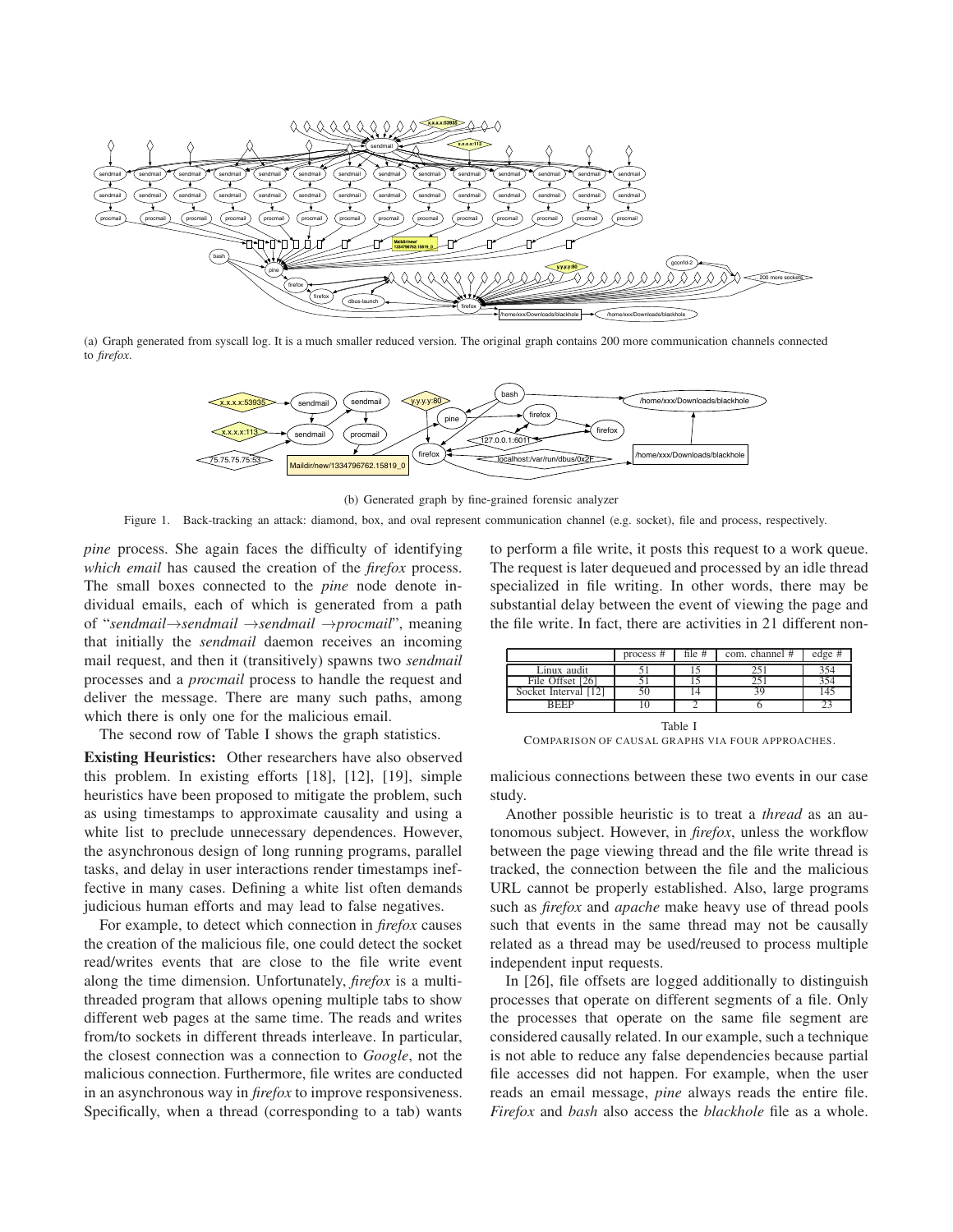

(a) Graph generated from syscall log. It is a much smaller reduced version. The original graph contains 200 more communication channels connected to *firefox*.



(b) Generated graph by fine-grained forensic analyzer

Figure 1. Back-tracking an attack: diamond, box, and oval represent communication channel (e.g. socket), file and process, respectively.

*pine* process. She again faces the difficulty of identifying *which email* has caused the creation of the *firefox* process. The small boxes connected to the *pine* node denote individual emails, each of which is generated from a path of "*sendmail*→*sendmail* →*sendmail* →*procmail*", meaning that initially the *sendmail* daemon receives an incoming mail request, and then it (transitively) spawns two *sendmail* processes and a *procmail* process to handle the request and deliver the message. There are many such paths, among which there is only one for the malicious email.

The second row of Table I shows the graph statistics.

Existing Heuristics: Other researchers have also observed this problem. In existing efforts [18], [12], [19], simple heuristics have been proposed to mitigate the problem, such as using timestamps to approximate causality and using a white list to preclude unnecessary dependences. However, the asynchronous design of long running programs, parallel tasks, and delay in user interactions render timestamps ineffective in many cases. Defining a white list often demands judicious human efforts and may lead to false negatives.

For example, to detect which connection in *firefox* causes the creation of the malicious file, one could detect the socket read/writes events that are close to the file write event along the time dimension. Unfortunately, *firefox* is a multithreaded program that allows opening multiple tabs to show different web pages at the same time. The reads and writes from/to sockets in different threads interleave. In particular, the closest connection was a connection to *Google*, not the malicious connection. Furthermore, file writes are conducted in an asynchronous way in *firefox* to improve responsiveness. Specifically, when a thread (corresponding to a tab) wants

to perform a file write, it posts this request to a work queue. The request is later dequeued and processed by an idle thread specialized in file writing. In other words, there may be substantial delay between the event of viewing the page and the file write. In fact, there are activities in 21 different non-

|                      | process # | file $#$ | com. channel $#$ | edge # |  |  |
|----------------------|-----------|----------|------------------|--------|--|--|
| Linux audit          |           |          | 25.              | 354    |  |  |
| File Offset [26]     |           |          | 25.              | 354    |  |  |
| Socket Interval [12] | 50        |          | 39               | 145    |  |  |
| <b>REEP</b>          | 10        |          |                  |        |  |  |
| Table                |           |          |                  |        |  |  |

COMPARISON OF CAUSAL GRAPHS VIA FOUR APPROACHES.

malicious connections between these two events in our case study.

Another possible heuristic is to treat a *thread* as an autonomous subject. However, in *firefox*, unless the workflow between the page viewing thread and the file write thread is tracked, the connection between the file and the malicious URL cannot be properly established. Also, large programs such as *firefox* and *apache* make heavy use of thread pools such that events in the same thread may not be causally related as a thread may be used/reused to process multiple independent input requests.

In [26], file offsets are logged additionally to distinguish processes that operate on different segments of a file. Only the processes that operate on the same file segment are considered causally related. In our example, such a technique is not able to reduce any false dependencies because partial file accesses did not happen. For example, when the user reads an email message, *pine* always reads the entire file. *Firefox* and *bash* also access the *blackhole* file as a whole.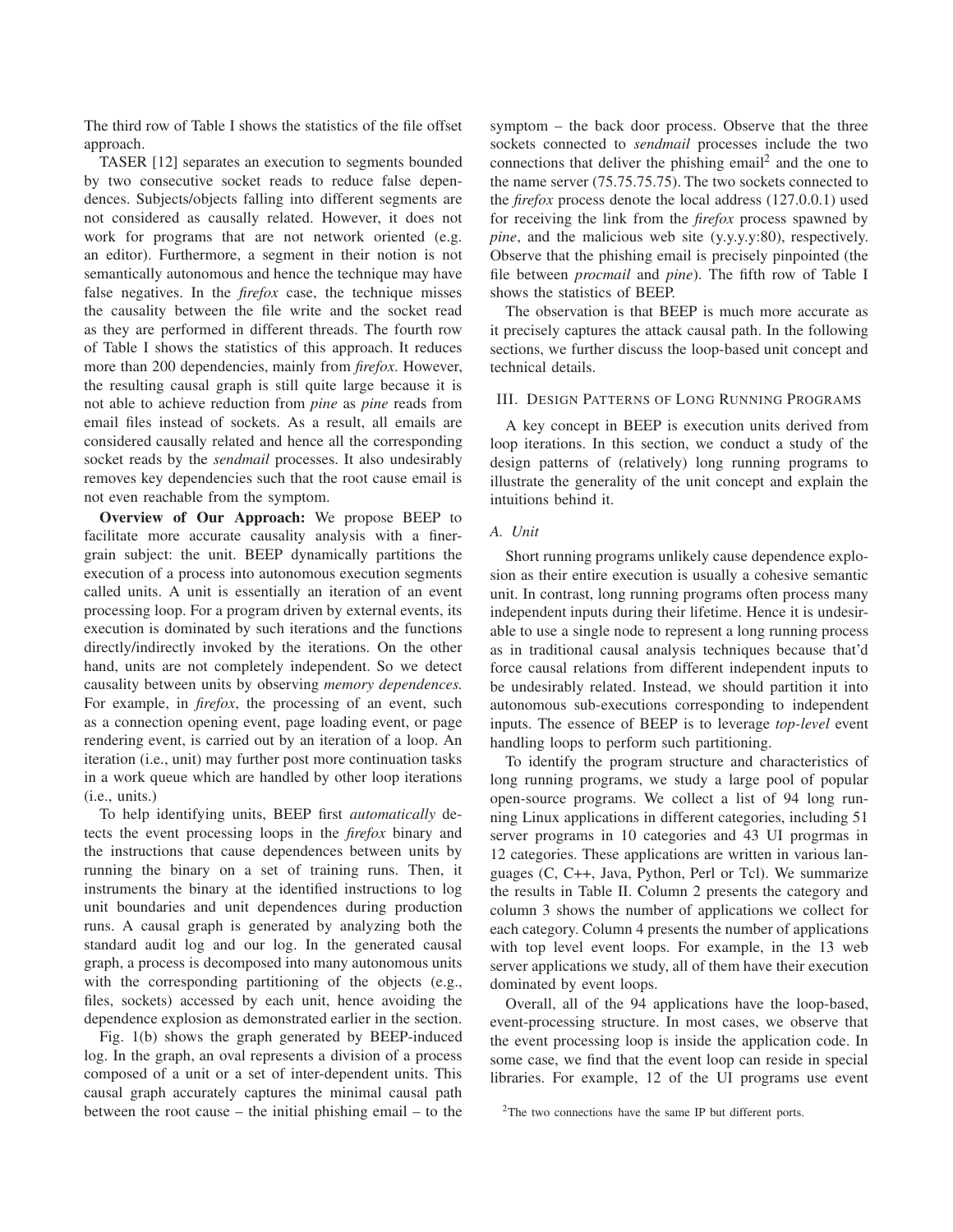The third row of Table I shows the statistics of the file offset approach.

TASER [12] separates an execution to segments bounded by two consecutive socket reads to reduce false dependences. Subjects/objects falling into different segments are not considered as causally related. However, it does not work for programs that are not network oriented (e.g. an editor). Furthermore, a segment in their notion is not semantically autonomous and hence the technique may have false negatives. In the *firefox* case, the technique misses the causality between the file write and the socket read as they are performed in different threads. The fourth row of Table I shows the statistics of this approach. It reduces more than 200 dependencies, mainly from *firefox*. However, the resulting causal graph is still quite large because it is not able to achieve reduction from *pine* as *pine* reads from email files instead of sockets. As a result, all emails are considered causally related and hence all the corresponding socket reads by the *sendmail* processes. It also undesirably removes key dependencies such that the root cause email is not even reachable from the symptom.

Overview of Our Approach: We propose BEEP to facilitate more accurate causality analysis with a finergrain subject: the unit. BEEP dynamically partitions the execution of a process into autonomous execution segments called units. A unit is essentially an iteration of an event processing loop. For a program driven by external events, its execution is dominated by such iterations and the functions directly/indirectly invoked by the iterations. On the other hand, units are not completely independent. So we detect causality between units by observing *memory dependences.* For example, in *firefox*, the processing of an event, such as a connection opening event, page loading event, or page rendering event, is carried out by an iteration of a loop. An iteration (i.e., unit) may further post more continuation tasks in a work queue which are handled by other loop iterations (i.e., units.)

To help identifying units, BEEP first *automatically* detects the event processing loops in the *firefox* binary and the instructions that cause dependences between units by running the binary on a set of training runs. Then, it instruments the binary at the identified instructions to log unit boundaries and unit dependences during production runs. A causal graph is generated by analyzing both the standard audit log and our log. In the generated causal graph, a process is decomposed into many autonomous units with the corresponding partitioning of the objects (e.g., files, sockets) accessed by each unit, hence avoiding the dependence explosion as demonstrated earlier in the section.

Fig. 1(b) shows the graph generated by BEEP-induced log. In the graph, an oval represents a division of a process composed of a unit or a set of inter-dependent units. This causal graph accurately captures the minimal causal path between the root cause – the initial phishing email – to the symptom – the back door process. Observe that the three sockets connected to *sendmail* processes include the two connections that deliver the phishing email<sup>2</sup> and the one to the name server (75.75.75.75). The two sockets connected to the *firefox* process denote the local address (127.0.0.1) used for receiving the link from the *firefox* process spawned by *pine*, and the malicious web site (y.y.y.y:80), respectively. Observe that the phishing email is precisely pinpointed (the file between *procmail* and *pine*). The fifth row of Table I shows the statistics of BEEP.

The observation is that BEEP is much more accurate as it precisely captures the attack causal path. In the following sections, we further discuss the loop-based unit concept and technical details.

## III. DESIGN PATTERNS OF LONG RUNNING PROGRAMS

A key concept in BEEP is execution units derived from loop iterations. In this section, we conduct a study of the design patterns of (relatively) long running programs to illustrate the generality of the unit concept and explain the intuitions behind it.

## *A. Unit*

Short running programs unlikely cause dependence explosion as their entire execution is usually a cohesive semantic unit. In contrast, long running programs often process many independent inputs during their lifetime. Hence it is undesirable to use a single node to represent a long running process as in traditional causal analysis techniques because that'd force causal relations from different independent inputs to be undesirably related. Instead, we should partition it into autonomous sub-executions corresponding to independent inputs. The essence of BEEP is to leverage *top-level* event handling loops to perform such partitioning.

To identify the program structure and characteristics of long running programs, we study a large pool of popular open-source programs. We collect a list of 94 long running Linux applications in different categories, including 51 server programs in 10 categories and 43 UI progrmas in 12 categories. These applications are written in various languages (C, C++, Java, Python, Perl or Tcl). We summarize the results in Table II. Column 2 presents the category and column 3 shows the number of applications we collect for each category. Column 4 presents the number of applications with top level event loops. For example, in the 13 web server applications we study, all of them have their execution dominated by event loops.

Overall, all of the 94 applications have the loop-based, event-processing structure. In most cases, we observe that the event processing loop is inside the application code. In some case, we find that the event loop can reside in special libraries. For example, 12 of the UI programs use event

<sup>2</sup>The two connections have the same IP but different ports.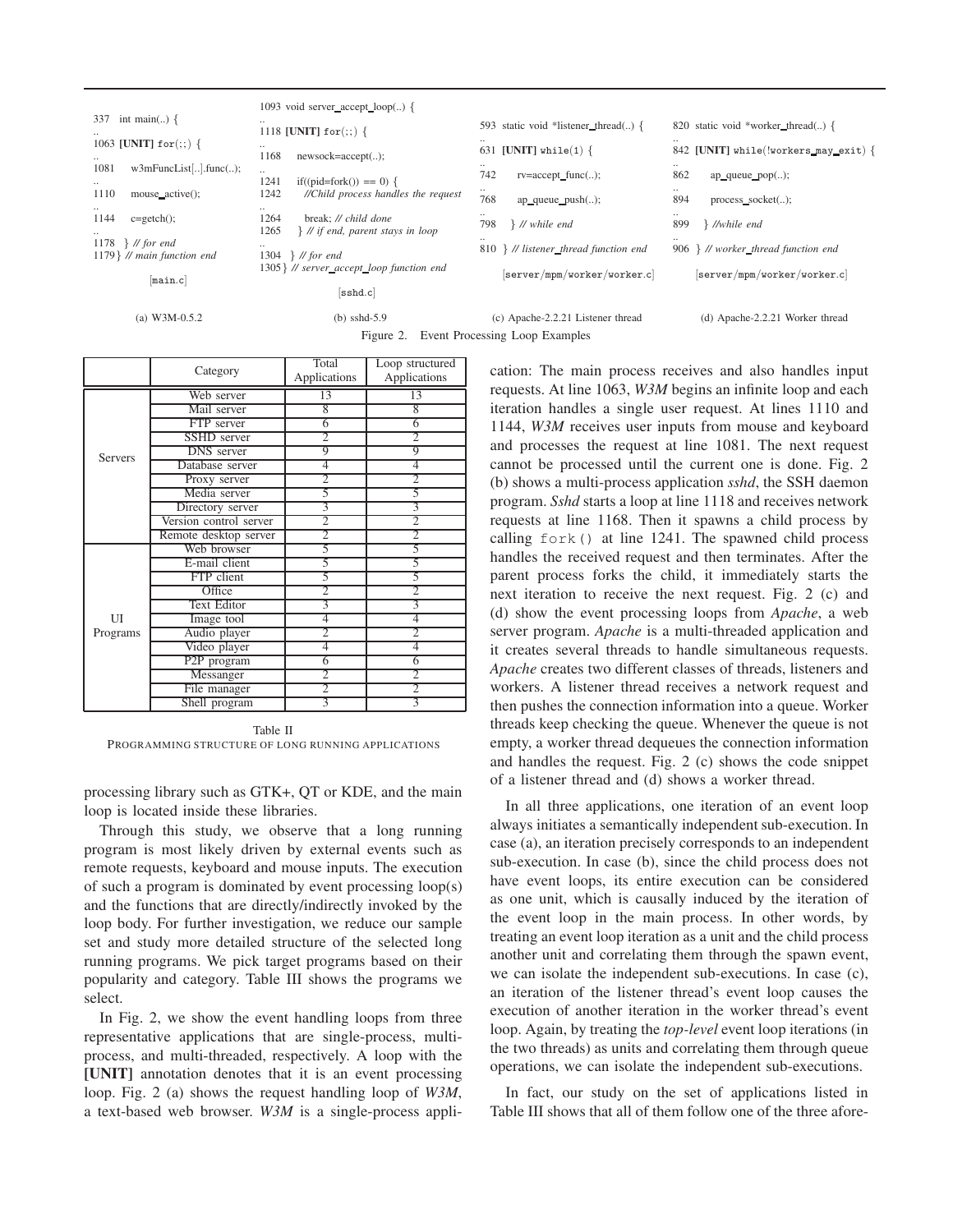|                                                    | 1093 void server_accept_loop() $\{$                                       |                                       |                                       |
|----------------------------------------------------|---------------------------------------------------------------------------|---------------------------------------|---------------------------------------|
| 337<br>int main() $\{$                             | 1118 [UNIT] $for(:,)$ {                                                   | 593 static void *listener_thread() {  | 820 static void *worker_thread() {    |
| 1063 [UNIT] $for(:,)$ {                            | $\ddotsc$<br>1168<br>$newsock = accept()$ ;                               | 631 [UNIT] while(1) $\{$              | 842 [UNIT] while(!workers_may_exit) { |
| $w3mFuncList[]$ . func $()$ ;<br>1081              | $\ddotsc$<br>$if((pid=fork()) == 0)$<br>1241                              | 742<br>$rv = accept\_func()$ ;<br>    | 862<br>ap_queue_pop $()$ ;            |
| 1110<br>mouse active();                            | 1242<br>//Child process handles the request<br>                           | 768<br>$ap\_queue\_push()$ ;          | 894<br>$process\_socket()$ ;          |
| 1144<br>$c = getch$ ;                              | 1264<br>break; // child done<br>1265<br>  // if end, parent stays in loop | 798<br>$\}$ // while end              | 899<br><i>Mwhile end</i>              |
| 1178 $}$ // for end<br>1179 } // main function end | 1304 } // for end                                                         | 810 } // listener_thread function end | 906 } // worker_thread function end   |
| $[\text{main.c}]$                                  | 1305   // server_accept_loop function end                                 | [server/mpm/worker/worker.c]          | [server/mpm/worker/worker.c]          |
|                                                    | [sshd.c]                                                                  |                                       |                                       |
| (a) $W3M-0.5.2$                                    | $(b)$ sshd-5.9                                                            | (c) Apache-2.2.21 Listener thread     | (d) Apache-2.2.21 Worker thread       |

Figure 2. Event Processing Loop Examples

|          | Category                | Total<br>Applications | Loop structured<br>Applications |
|----------|-------------------------|-----------------------|---------------------------------|
|          | Web server              | 13                    | 13                              |
|          | Mail server             | 8                     | 8                               |
|          | FTP server              | 6                     | 6                               |
|          | SSHD server             | $\overline{2}$        | $\overline{2}$                  |
| Servers  | <b>DNS</b> server       | 9                     | 9                               |
|          | Database server         | 4                     | 4                               |
|          | Proxy server            | 2                     | $\overline{2}$                  |
|          | Media server            | 5                     | 5                               |
|          | Directory server        | 3                     | 3                               |
|          | Version control server  | $\overline{2}$        | $\overline{2}$                  |
|          | Remote desktop server   | $\overline{2}$        | $\overline{2}$                  |
|          | Web browser             | 5                     | 5                               |
|          | E-mail client           | 5                     | 5                               |
|          | FTP client              | 5                     | 5                               |
|          | Office                  | 2                     | 2                               |
|          | <b>Text Editor</b>      | 3                     | 3                               |
| UI       | Image tool              | 4                     | 4                               |
| Programs | Audio player            | 2                     | 2                               |
|          | Video player            | 4                     | 4                               |
|          | P <sub>2P</sub> program | 6                     | 6                               |
|          | Messanger               | 2                     | $\overline{2}$                  |
|          | File manager            | $\overline{2}$        | $\overline{2}$                  |
|          | Shell program           | 3                     | 3                               |

Table II PROGRAMMING STRUCTURE OF LONG RUNNING APPLICATIONS

processing library such as GTK+, QT or KDE, and the main loop is located inside these libraries.

Through this study, we observe that a long running program is most likely driven by external events such as remote requests, keyboard and mouse inputs. The execution of such a program is dominated by event processing loop(s) and the functions that are directly/indirectly invoked by the loop body. For further investigation, we reduce our sample set and study more detailed structure of the selected long running programs. We pick target programs based on their popularity and category. Table III shows the programs we select.

In Fig. 2, we show the event handling loops from three representative applications that are single-process, multiprocess, and multi-threaded, respectively. A loop with the [UNIT] annotation denotes that it is an event processing loop. Fig. 2 (a) shows the request handling loop of *W3M*, a text-based web browser. *W3M* is a single-process application: The main process receives and also handles input requests. At line 1063, *W3M* begins an infinite loop and each iteration handles a single user request. At lines 1110 and 1144, *W3M* receives user inputs from mouse and keyboard and processes the request at line 1081. The next request cannot be processed until the current one is done. Fig. 2 (b) shows a multi-process application *sshd*, the SSH daemon program. *Sshd* starts a loop at line 1118 and receives network requests at line 1168. Then it spawns a child process by calling fork() at line 1241. The spawned child process handles the received request and then terminates. After the parent process forks the child, it immediately starts the next iteration to receive the next request. Fig. 2 (c) and (d) show the event processing loops from *Apache*, a web server program. *Apache* is a multi-threaded application and it creates several threads to handle simultaneous requests. *Apache* creates two different classes of threads, listeners and workers. A listener thread receives a network request and then pushes the connection information into a queue. Worker threads keep checking the queue. Whenever the queue is not empty, a worker thread dequeues the connection information and handles the request. Fig. 2 (c) shows the code snippet of a listener thread and (d) shows a worker thread.

In all three applications, one iteration of an event loop always initiates a semantically independent sub-execution. In case (a), an iteration precisely corresponds to an independent sub-execution. In case (b), since the child process does not have event loops, its entire execution can be considered as one unit, which is causally induced by the iteration of the event loop in the main process. In other words, by treating an event loop iteration as a unit and the child process another unit and correlating them through the spawn event, we can isolate the independent sub-executions. In case (c), an iteration of the listener thread's event loop causes the execution of another iteration in the worker thread's event loop. Again, by treating the *top-level* event loop iterations (in the two threads) as units and correlating them through queue operations, we can isolate the independent sub-executions.

In fact, our study on the set of applications listed in Table III shows that all of them follow one of the three afore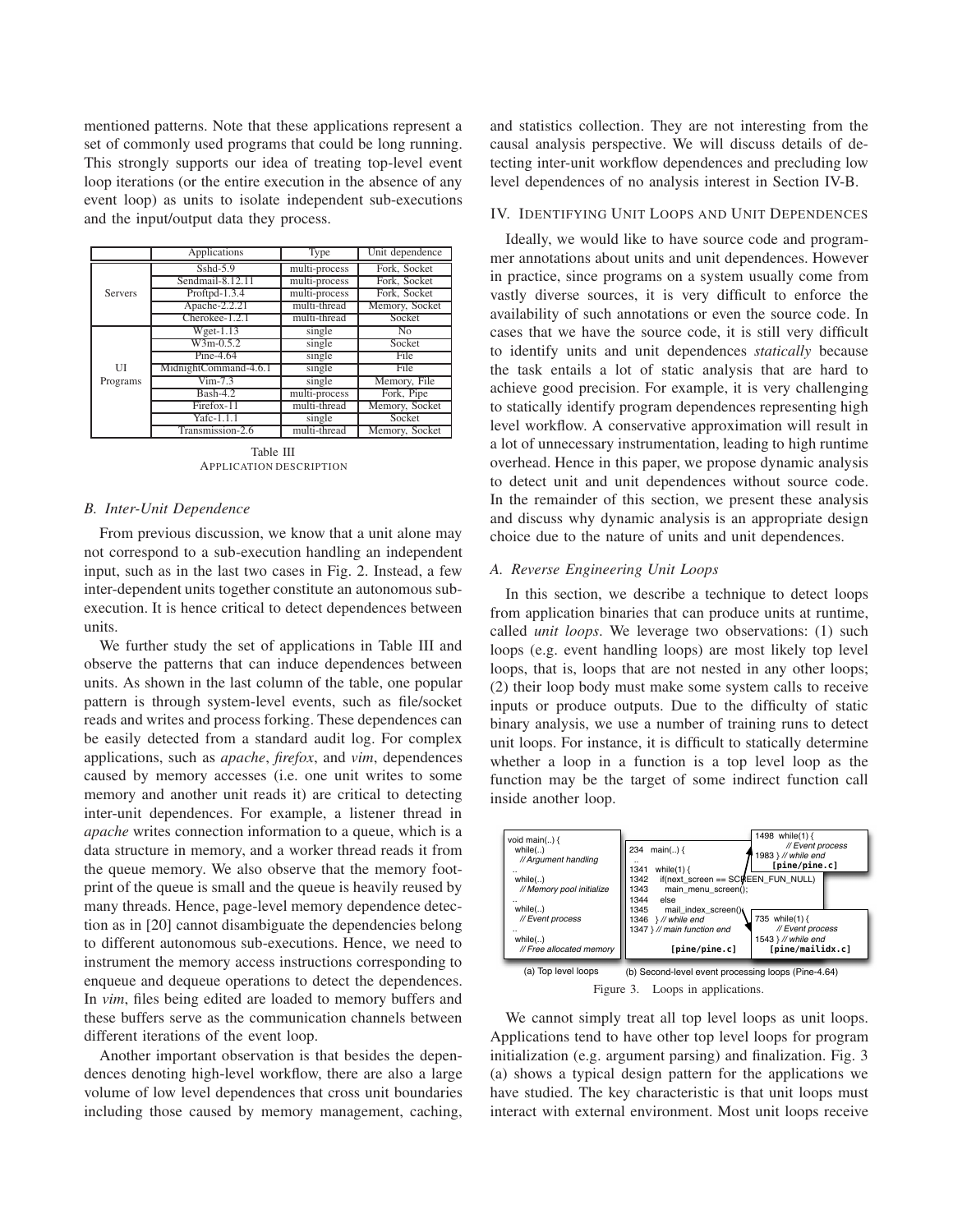mentioned patterns. Note that these applications represent a set of commonly used programs that could be long running. This strongly supports our idea of treating top-level event loop iterations (or the entire execution in the absence of any event loop) as units to isolate independent sub-executions and the input/output data they process.

|                | Applications          | Type                       | Unit dependence |
|----------------|-----------------------|----------------------------|-----------------|
|                | $Sshd-5.9$            | multi-process              | Fork. Socket    |
|                | Sendmail-8.12.11      | multi-process              | Fork. Socket    |
| <b>Servers</b> | Proftpd-1.3.4         | multi-process              | Fork. Socket    |
|                | Apache-2.2.21         | multi-thread               | Memory, Socket  |
|                | Cherokee-1.2.1        | multi-thread               | Socket          |
|                | $W$ get-1.13          | single                     | No.             |
|                | $W3m-0.5.2$           | single                     | Socket          |
|                | Pine-4.64             | $\overline{\text{single}}$ | File            |
| UI             | MidnightCommand-4.6.1 | single                     | File            |
| Programs       | $V$ im-7.3            | single                     | Memory, File    |
|                | $Bash-4.2$            | multi-process              | Fork, Pipe      |
|                | Firefox-11            | multi-thread               | Memory, Socket  |
|                | Yafc-1.1.1            | single                     | Socket          |
|                | Transmission-2.6      | multi-thread               | Memory, Socket  |

Table III APPLICATION DESCRIPTION

#### *B. Inter-Unit Dependence*

From previous discussion, we know that a unit alone may not correspond to a sub-execution handling an independent input, such as in the last two cases in Fig. 2. Instead, a few inter-dependent units together constitute an autonomous subexecution. It is hence critical to detect dependences between units.

We further study the set of applications in Table III and observe the patterns that can induce dependences between units. As shown in the last column of the table, one popular pattern is through system-level events, such as file/socket reads and writes and process forking. These dependences can be easily detected from a standard audit log. For complex applications, such as *apache*, *firefox*, and *vim*, dependences caused by memory accesses (i.e. one unit writes to some memory and another unit reads it) are critical to detecting inter-unit dependences. For example, a listener thread in *apache* writes connection information to a queue, which is a data structure in memory, and a worker thread reads it from the queue memory. We also observe that the memory footprint of the queue is small and the queue is heavily reused by many threads. Hence, page-level memory dependence detection as in [20] cannot disambiguate the dependencies belong to different autonomous sub-executions. Hence, we need to instrument the memory access instructions corresponding to enqueue and dequeue operations to detect the dependences. In *vim*, files being edited are loaded to memory buffers and these buffers serve as the communication channels between different iterations of the event loop.

Another important observation is that besides the dependences denoting high-level workflow, there are also a large volume of low level dependences that cross unit boundaries including those caused by memory management, caching, and statistics collection. They are not interesting from the causal analysis perspective. We will discuss details of detecting inter-unit workflow dependences and precluding low level dependences of no analysis interest in Section IV-B.

## IV. IDENTIFYING UNIT LOOPS AND UNIT DEPENDENCES

Ideally, we would like to have source code and programmer annotations about units and unit dependences. However in practice, since programs on a system usually come from vastly diverse sources, it is very difficult to enforce the availability of such annotations or even the source code. In cases that we have the source code, it is still very difficult to identify units and unit dependences *statically* because the task entails a lot of static analysis that are hard to achieve good precision. For example, it is very challenging to statically identify program dependences representing high level workflow. A conservative approximation will result in a lot of unnecessary instrumentation, leading to high runtime overhead. Hence in this paper, we propose dynamic analysis to detect unit and unit dependences without source code. In the remainder of this section, we present these analysis and discuss why dynamic analysis is an appropriate design choice due to the nature of units and unit dependences.

## *A. Reverse Engineering Unit Loops*

In this section, we describe a technique to detect loops from application binaries that can produce units at runtime, called *unit loops*. We leverage two observations: (1) such loops (e.g. event handling loops) are most likely top level loops, that is, loops that are not nested in any other loops; (2) their loop body must make some system calls to receive inputs or produce outputs. Due to the difficulty of static binary analysis, we use a number of training runs to detect unit loops. For instance, it is difficult to statically determine whether a loop in a function is a top level loop as the function may be the target of some indirect function call inside another loop.



Figure 3. Loops in applications.

We cannot simply treat all top level loops as unit loops. Applications tend to have other top level loops for program initialization (e.g. argument parsing) and finalization. Fig. 3 (a) shows a typical design pattern for the applications we have studied. The key characteristic is that unit loops must interact with external environment. Most unit loops receive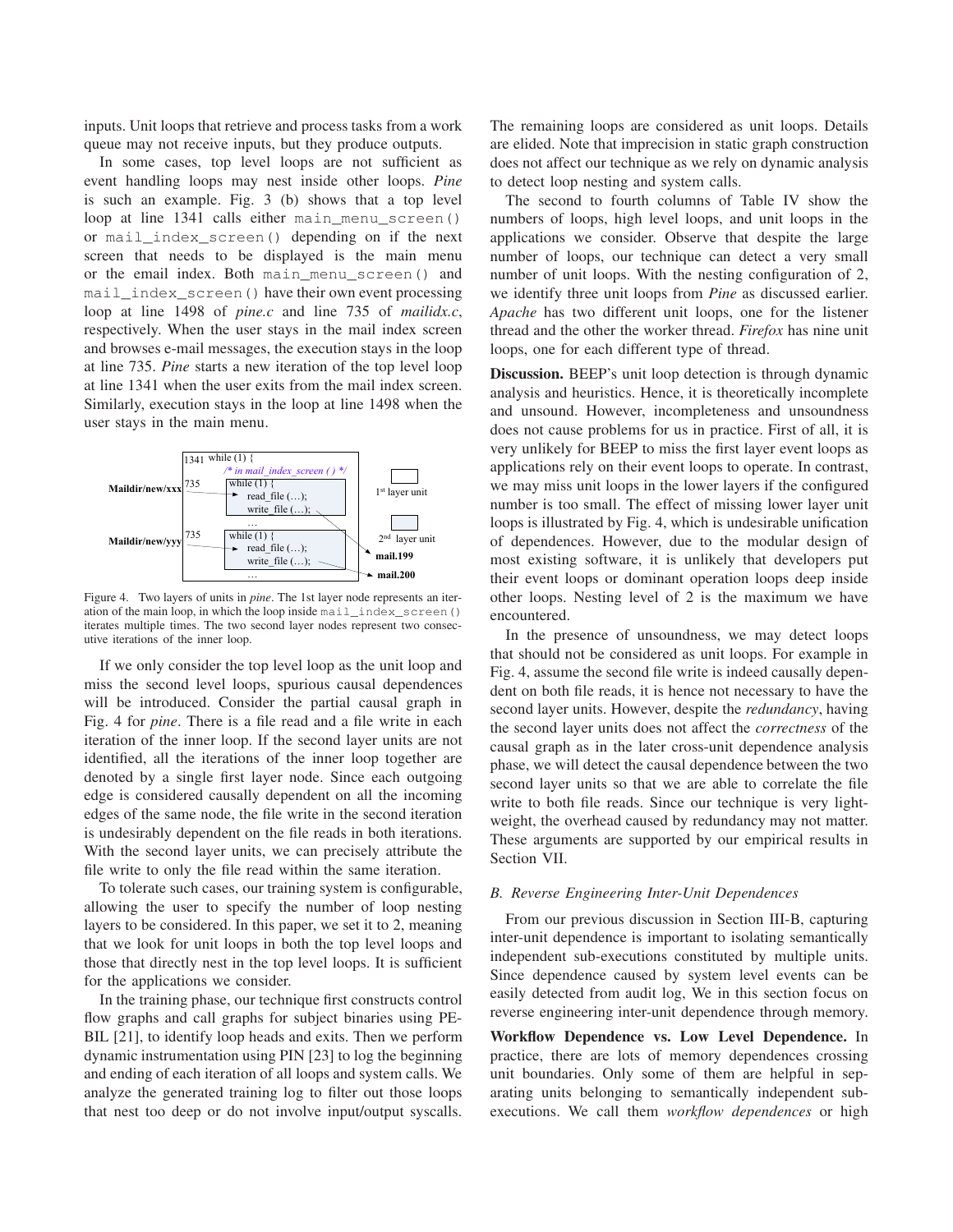inputs. Unit loops that retrieve and process tasks from a work queue may not receive inputs, but they produce outputs.

In some cases, top level loops are not sufficient as event handling loops may nest inside other loops. *Pine* is such an example. Fig. 3 (b) shows that a top level loop at line 1341 calls either main\_menu\_screen() or mail\_index\_screen() depending on if the next screen that needs to be displayed is the main menu or the email index. Both main\_menu\_screen() and mail index screen() have their own event processing loop at line 1498 of *pine.c* and line 735 of *mailidx.c*, respectively. When the user stays in the mail index screen and browses e-mail messages, the execution stays in the loop at line 735. *Pine* starts a new iteration of the top level loop at line 1341 when the user exits from the mail index screen. Similarly, execution stays in the loop at line 1498 when the user stays in the main menu.



 Figure 4. Two layers of units in *pine*. The 1st layer node represents an iter- ation of the main loop, in which the loop inside mail\_index\_screen() iterates multiple times. The two second layer nodes represent two consecutive iterations of the inner loop.

If we only consider the top level loop as the unit loop and miss the second level loops, spurious causal dependences will be introduced. Consider the partial causal graph in Fig. 4 for *pine*. There is a file read and a file write in each iteration of the inner loop. If the second layer units are not identified, all the iterations of the inner loop together are denoted by a single first layer node. Since each outgoing edge is considered causally dependent on all the incoming edges of the same node, the file write in the second iteration is undesirably dependent on the file reads in both iterations. With the second layer units, we can precisely attribute the file write to only the file read within the same iteration.

To tolerate such cases, our training system is configurable, allowing the user to specify the number of loop nesting layers to be considered. In this paper, we set it to 2, meaning that we look for unit loops in both the top level loops and those that directly nest in the top level loops. It is sufficient for the applications we consider.

In the training phase, our technique first constructs control flow graphs and call graphs for subject binaries using PE-BIL [21], to identify loop heads and exits. Then we perform dynamic instrumentation using PIN [23] to log the beginning and ending of each iteration of all loops and system calls. We analyze the generated training log to filter out those loops that nest too deep or do not involve input/output syscalls. The remaining loops are considered as unit loops. Details are elided. Note that imprecision in static graph construction does not affect our technique as we rely on dynamic analysis to detect loop nesting and system calls.

The second to fourth columns of Table IV show the numbers of loops, high level loops, and unit loops in the applications we consider. Observe that despite the large number of loops, our technique can detect a very small number of unit loops. With the nesting configuration of 2, we identify three unit loops from *Pine* as discussed earlier. *Apache* has two different unit loops, one for the listener thread and the other the worker thread. *Firefox* has nine unit loops, one for each different type of thread.

Discussion. BEEP's unit loop detection is through dynamic analysis and heuristics. Hence, it is theoretically incomplete and unsound. However, incompleteness and unsoundness does not cause problems for us in practice. First of all, it is very unlikely for BEEP to miss the first layer event loops as applications rely on their event loops to operate. In contrast, we may miss unit loops in the lower layers if the configured number is too small. The effect of missing lower layer unit loops is illustrated by Fig. 4, which is undesirable unification of dependences. However, due to the modular design of most existing software, it is unlikely that developers put their event loops or dominant operation loops deep inside other loops. Nesting level of 2 is the maximum we have encountered.

In the presence of unsoundness, we may detect loops that should not be considered as unit loops. For example in Fig. 4, assume the second file write is indeed causally dependent on both file reads, it is hence not necessary to have the second layer units. However, despite the *redundancy*, having the second layer units does not affect the *correctness* of the causal graph as in the later cross-unit dependence analysis phase, we will detect the causal dependence between the two second layer units so that we are able to correlate the file write to both file reads. Since our technique is very lightweight, the overhead caused by redundancy may not matter. These arguments are supported by our empirical results in Section VII.

#### *B. Reverse Engineering Inter-Unit Dependences*

From our previous discussion in Section III-B, capturing inter-unit dependence is important to isolating semantically independent sub-executions constituted by multiple units. Since dependence caused by system level events can be easily detected from audit log, We in this section focus on reverse engineering inter-unit dependence through memory.

Workflow Dependence vs. Low Level Dependence. In practice, there are lots of memory dependences crossing unit boundaries. Only some of them are helpful in separating units belonging to semantically independent subexecutions. We call them *workflow dependences* or high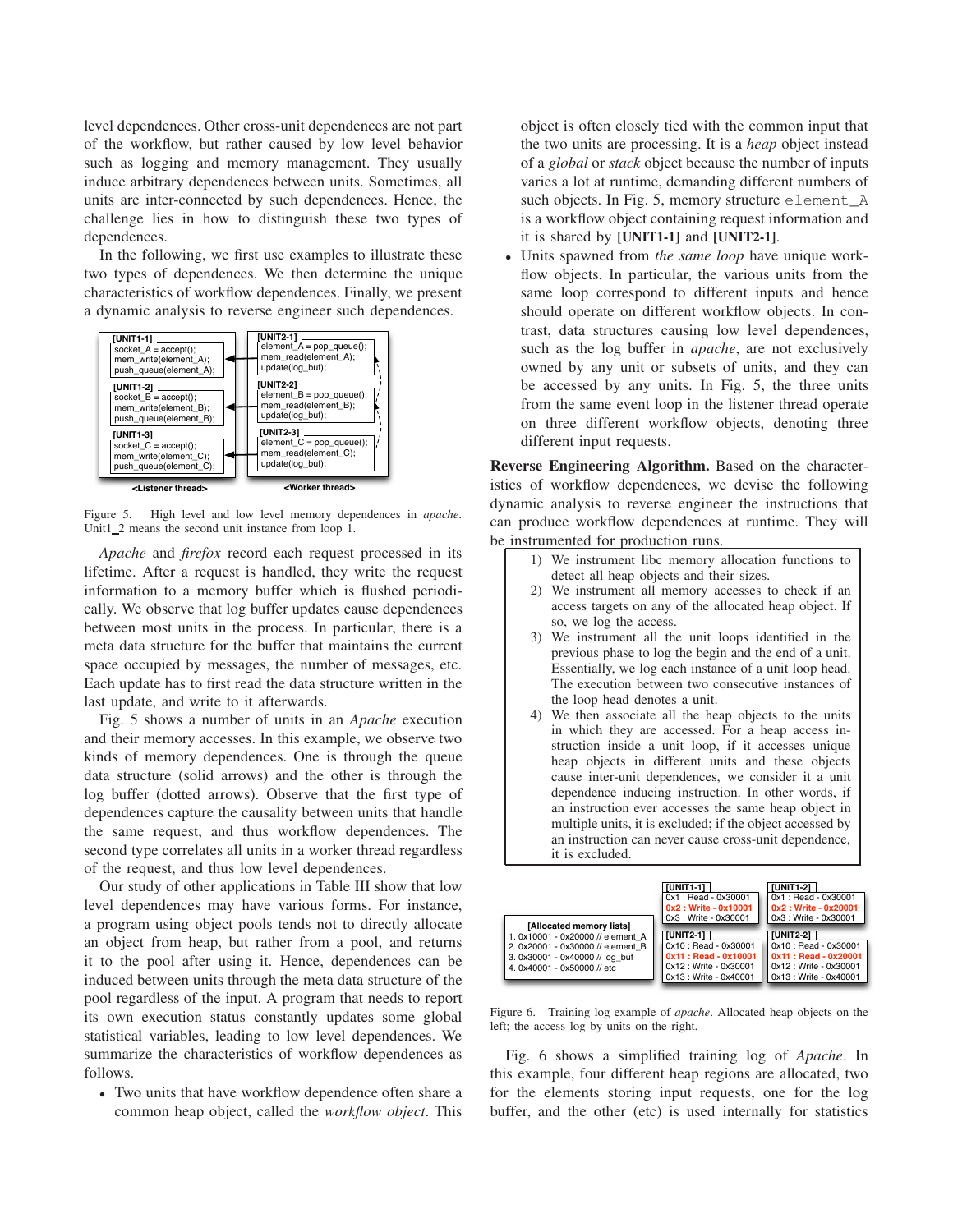level dependences. Other cross-unit dependences are not part of the workflow, but rather caused by low level behavior such as logging and memory management. They usually induce arbitrary dependences between units. Sometimes, all units are inter-connected by such dependences. Hence, the challenge lies in how to distinguish these two types of dependences.

In the following, we first use examples to illustrate these two types of dependences. We then determine the unique characteristics of workflow dependences. Finally, we present a dynamic analysis to reverse engineer such dependences.



Figure 5. High level and low level memory dependences in *apache*. Unit1\_2 means the second unit instance from loop 1.

*Apache* and *firefox* record each request processed in its lifetime. After a request is handled, they write the request information to a memory buffer which is flushed periodically. We observe that log buffer updates cause dependences between most units in the process. In particular, there is a meta data structure for the buffer that maintains the current space occupied by messages, the number of messages, etc. Each update has to first read the data structure written in the last update, and write to it afterwards.

Fig. 5 shows a number of units in an *Apache* execution and their memory accesses. In this example, we observe two kinds of memory dependences. One is through the queue data structure (solid arrows) and the other is through the log buffer (dotted arrows). Observe that the first type of dependences capture the causality between units that handle the same request, and thus workflow dependences. The second type correlates all units in a worker thread regardless of the request, and thus low level dependences.

Our study of other applications in Table III show that low level dependences may have various forms. For instance, a program using object pools tends not to directly allocate an object from heap, but rather from a pool, and returns it to the pool after using it. Hence, dependences can be induced between units through the meta data structure of the pool regardless of the input. A program that needs to report its own execution status constantly updates some global statistical variables, leading to low level dependences. We summarize the characteristics of workflow dependences as follows.

• Two units that have workflow dependence often share a common heap object, called the *workflow object*. This object is often closely tied with the common input that the two units are processing. It is a *heap* object instead of a *global* or *stack* object because the number of inputs varies a lot at runtime, demanding different numbers of such objects. In Fig. 5, memory structure element\_A is a workflow object containing request information and it is shared by [UNIT1-1] and [UNIT2-1].

• Units spawned from *the same loop* have unique workflow objects. In particular, the various units from the same loop correspond to different inputs and hence should operate on different workflow objects. In contrast, data structures causing low level dependences, such as the log buffer in *apache*, are not exclusively owned by any unit or subsets of units, and they can be accessed by any units. In Fig. 5, the three units from the same event loop in the listener thread operate on three different workflow objects, denoting three different input requests.

Reverse Engineering Algorithm. Based on the characteristics of workflow dependences, we devise the following dynamic analysis to reverse engineer the instructions that can produce workflow dependences at runtime. They will be instrumented for production runs.

- 1) We instrument libc memory allocation functions to detect all heap objects and their sizes.
- 2) We instrument all memory accesses to check if an access targets on any of the allocated heap object. If so, we log the access.
- 3) We instrument all the unit loops identified in the previous phase to log the begin and the end of a unit. Essentially, we log each instance of a unit loop head. The execution between two consecutive instances of the loop head denotes a unit.
- 4) We then associate all the heap objects to the units in which they are accessed. For a heap access instruction inside a unit loop, if it accesses unique heap objects in different units and these objects cause inter-unit dependences, we consider it a unit dependence inducing instruction. In other words, if an instruction ever accesses the same heap object in multiple units, it is excluded; if the object accessed by an instruction can never cause cross-unit dependence, it is excluded.

| [Allocated memory lists]                                                                                                              | <b>[UNIT1-1]</b><br>0x1: Read - 0x30001<br>0x2: Write - 0x10001<br>0x3: Write - 0x30001                               | <b>[UNIT1-2]</b><br>0x1: Read - 0x30001<br>0x2: Write - 0x20001<br>0x3: Write - 0x30001                                 |
|---------------------------------------------------------------------------------------------------------------------------------------|-----------------------------------------------------------------------------------------------------------------------|-------------------------------------------------------------------------------------------------------------------------|
| 1.0x10001 - 0x20000 // element A<br>2. 0x20001 - 0x30000 // element B<br>3.0x30001 - 0x40000 // log buf<br>4.0x40001 - 0x50000 // etc | <b>IUNIT2-11</b><br>0x10: Read - 0x30001<br>$0x11 : Read - 0x10001$<br>0x12: Write - 0x30001<br>0x13: Write - 0x40001 | <b>IUNIT2-21</b><br>$0x10$ : Read - $0x30001$<br>0x11: Read - 0x20001<br>0x12: Write - 0x30001<br>0x13: Write - 0x40001 |

Figure 6. Training log example of *apache*. Allocated heap objects on the left; the access log by units on the right.

Fig. 6 shows a simplified training log of *Apache*. In this example, four different heap regions are allocated, two for the elements storing input requests, one for the log buffer, and the other (etc) is used internally for statistics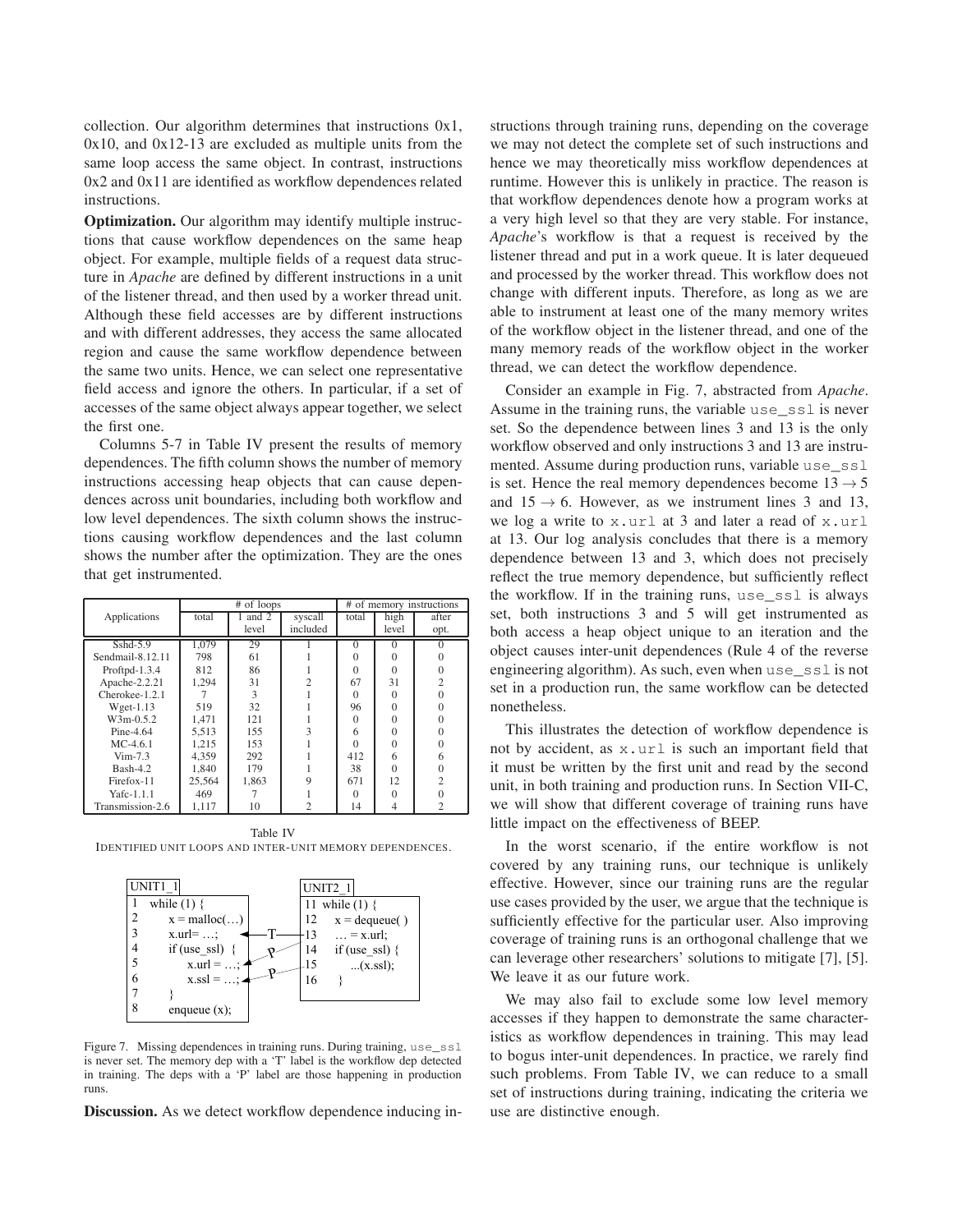collection. Our algorithm determines that instructions 0x1, 0x10, and 0x12-13 are excluded as multiple units from the same loop access the same object. In contrast, instructions 0x2 and 0x11 are identified as workflow dependences related instructions.

Optimization. Our algorithm may identify multiple instructions that cause workflow dependences on the same heap object. For example, multiple fields of a request data structure in *Apache* are defined by different instructions in a unit of the listener thread, and then used by a worker thread unit. Although these field accesses are by different instructions and with different addresses, they access the same allocated region and cause the same workflow dependence between the same two units. Hence, we can select one representative field access and ignore the others. In particular, if a set of accesses of the same object always appear together, we select the first one.

Columns 5-7 in Table IV present the results of memory dependences. The fifth column shows the number of memory instructions accessing heap objects that can cause dependences across unit boundaries, including both workflow and low level dependences. The sixth column shows the instructions causing workflow dependences and the last column shows the number after the optimization. They are the ones that get instrumented.

|                  |        | # of loops |                |                   |          | # of memory instructions |
|------------------|--------|------------|----------------|-------------------|----------|--------------------------|
| Applications     | total  | and 2      | syscall        | total             | high     | after                    |
|                  |        | level      | included       |                   | level    | opt.                     |
| $Sshd-5.9$       | 1,079  | 29         |                | $\theta$          | $\Omega$ |                          |
| Sendmail-8.12.11 | 798    | 61         |                | $\mathbf{\Omega}$ | $\Omega$ |                          |
| Proftpd-1.3.4    | 812    | 86         |                | $\Omega$          | $\theta$ |                          |
| Apache-2.2.21    | 1,294  | 31         |                | 67                | 31       | $\mathfrak{D}$           |
| Cherokee-1.2.1   |        | 3          |                | $\Omega$          | $\Omega$ |                          |
| $Wget-1.13$      | 519    | 32         |                | 96                | $\Omega$ |                          |
| $W3m-0.5.2$      | 1,471  | 121        |                | $\Omega$          | $\Omega$ |                          |
| Pine-4.64        | 5.513  | 155        | 3              | 6                 | $\Omega$ |                          |
| $MC-4.6.1$       | 1,215  | 153        |                |                   | $\Omega$ |                          |
| $Vim-7.3$        | 4.359  | 292        |                | 412               | 6        | 6                        |
| $Bash-4.2$       | 1,840  | 179        |                | 38                | $\Omega$ | 0                        |
| Firefox-11       | 25.564 | 1,863      | 9              | 671               | 12       |                          |
| Yafc-1.1.1       | 469    |            |                | $\Omega$          | $\Omega$ |                          |
| Transmission-2.6 | 1,117  | 10         | $\overline{c}$ | 14                | 4        |                          |

Table IV IDENTIFIED UNIT LOOPS AND INTER-UNIT MEMORY DEPENDENCES.



Figure 7. Missing dependences in training runs. During training, use\_ssl is never set. The memory dep with a 'T' label is the workflow dep detected in training. The deps with a 'P' label are those happening in production runs.

Discussion. As we detect workflow dependence inducing in-

structions through training runs, depending on the coverage we may not detect the complete set of such instructions and hence we may theoretically miss workflow dependences at runtime. However this is unlikely in practice. The reason is that workflow dependences denote how a program works at a very high level so that they are very stable. For instance, *Apache*'s workflow is that a request is received by the listener thread and put in a work queue. It is later dequeued and processed by the worker thread. This workflow does not change with different inputs. Therefore, as long as we are able to instrument at least one of the many memory writes of the workflow object in the listener thread, and one of the many memory reads of the workflow object in the worker thread, we can detect the workflow dependence.

Consider an example in Fig. 7, abstracted from *Apache*. Assume in the training runs, the variable use\_ssl is never set. So the dependence between lines 3 and 13 is the only workflow observed and only instructions 3 and 13 are instrumented. Assume during production runs, variable use ssl is set. Hence the real memory dependences become  $13 \rightarrow 5$ and  $15 \rightarrow 6$ . However, as we instrument lines 3 and 13, we log a write to x.url at 3 and later a read of x.url at 13. Our log analysis concludes that there is a memory dependence between 13 and 3, which does not precisely reflect the true memory dependence, but sufficiently reflect the workflow. If in the training runs, use\_ssl is always set, both instructions 3 and 5 will get instrumented as both access a heap object unique to an iteration and the object causes inter-unit dependences (Rule 4 of the reverse engineering algorithm). As such, even when use\_ssl is not set in a production run, the same workflow can be detected nonetheless.

This illustrates the detection of workflow dependence is not by accident, as x.url is such an important field that it must be written by the first unit and read by the second unit, in both training and production runs. In Section VII-C, we will show that different coverage of training runs have little impact on the effectiveness of BEEP.

In the worst scenario, if the entire workflow is not covered by any training runs, our technique is unlikely effective. However, since our training runs are the regular use cases provided by the user, we argue that the technique is sufficiently effective for the particular user. Also improving coverage of training runs is an orthogonal challenge that we can leverage other researchers' solutions to mitigate [7], [5]. We leave it as our future work.

We may also fail to exclude some low level memory accesses if they happen to demonstrate the same characteristics as workflow dependences in training. This may lead to bogus inter-unit dependences. In practice, we rarely find such problems. From Table IV, we can reduce to a small set of instructions during training, indicating the criteria we use are distinctive enough.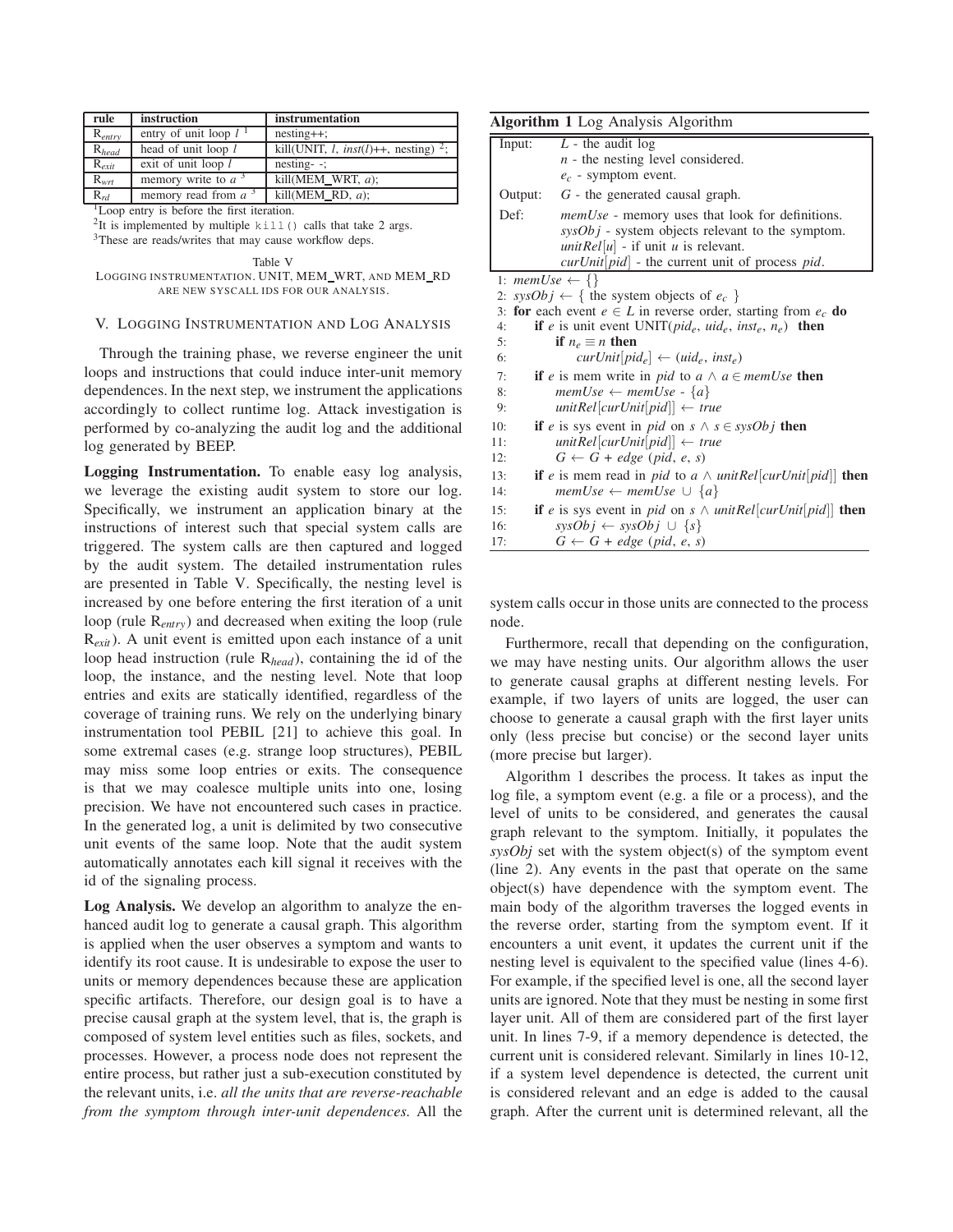| rule                                                     | instruction                                            | instrumentation                                                           |  |  |  |
|----------------------------------------------------------|--------------------------------------------------------|---------------------------------------------------------------------------|--|--|--|
| $R_{entry}$                                              | entry of unit loop $l^{-1}$                            | $nesting++;$                                                              |  |  |  |
| $R_{head}$                                               | head of unit loop $l$                                  | kill(UNIT, <i>l</i> , <i>inst</i> ( <i>l</i> )++, nesting) <sup>2</sup> ; |  |  |  |
| $R_{exit}$                                               | exit of unit loop $l$                                  | $nesting-$ :                                                              |  |  |  |
| $R_{wrt}$                                                | memory write to $a^3$                                  | kill(MEM_WRT, $a$ );                                                      |  |  |  |
| kill(MEM_RD, $a$ );<br>memory read from $a3$<br>$R_{rd}$ |                                                        |                                                                           |  |  |  |
|                                                          | <sup>1</sup> Loop entry is before the first iteration. |                                                                           |  |  |  |

<sup>2</sup>It is implemented by multiple  $k$ ill() calls that take 2 args. <sup>3</sup>These are reads/writes that may cause workflow deps.

Table V LOGGING INSTRUMENTATION. UNIT, MEM\_WRT, AND MEM\_RD ARE NEW SYSCALL IDS FOR OUR ANALYSIS.

#### V. LOGGING INSTRUMENTATION AND LOG ANALYSIS

Through the training phase, we reverse engineer the unit loops and instructions that could induce inter-unit memory dependences. In the next step, we instrument the applications accordingly to collect runtime log. Attack investigation is performed by co-analyzing the audit log and the additional log generated by BEEP.

Logging Instrumentation. To enable easy log analysis, we leverage the existing audit system to store our log. Specifically, we instrument an application binary at the instructions of interest such that special system calls are triggered. The system calls are then captured and logged by the audit system. The detailed instrumentation rules are presented in Table V. Specifically, the nesting level is increased by one before entering the first iteration of a unit loop (rule R*entry*) and decreased when exiting the loop (rule R*exit*). A unit event is emitted upon each instance of a unit loop head instruction (rule R*head*), containing the id of the loop, the instance, and the nesting level. Note that loop entries and exits are statically identified, regardless of the coverage of training runs. We rely on the underlying binary instrumentation tool PEBIL [21] to achieve this goal. In some extremal cases (e.g. strange loop structures), PEBIL may miss some loop entries or exits. The consequence is that we may coalesce multiple units into one, losing precision. We have not encountered such cases in practice. In the generated log, a unit is delimited by two consecutive unit events of the same loop. Note that the audit system automatically annotates each kill signal it receives with the id of the signaling process.

Log Analysis. We develop an algorithm to analyze the enhanced audit log to generate a causal graph. This algorithm is applied when the user observes a symptom and wants to identify its root cause. It is undesirable to expose the user to units or memory dependences because these are application specific artifacts. Therefore, our design goal is to have a precise causal graph at the system level, that is, the graph is composed of system level entities such as files, sockets, and processes. However, a process node does not represent the entire process, but rather just a sub-execution constituted by the relevant units, i.e. *all the units that are reverse-reachable from the symptom through inter-unit dependences.* All the

|                             | <b>Algorithm 1</b> Log Analysis Algorithm                                                                                                                                                                              |
|-----------------------------|------------------------------------------------------------------------------------------------------------------------------------------------------------------------------------------------------------------------|
| Input:                      | $L$ - the audit log<br>$n$ - the nesting level considered.<br>$e_c$ - symptom event.                                                                                                                                   |
|                             | Output: $G$ - the generated causal graph.                                                                                                                                                                              |
| Def:                        | <i>memUse</i> - memory uses that look for definitions.<br>$sysObj$ - system objects relevant to the symptom.<br><i>unitRel</i> [ $u$ ] - if unit $u$ is relevant.<br>$curUnit pid $ - the current unit of process pid. |
| 1: memUse $\leftarrow \{\}$ |                                                                                                                                                                                                                        |
|                             | 2: sys $Obj \leftarrow \{$ the system objects of $e_c$ }                                                                                                                                                               |
|                             | 3: for each event $e \in L$ in reverse order, starting from $e_c$ do                                                                                                                                                   |
| 4:                          | <b>if</b> e is unit event UNIT(pid <sub>e</sub> , uid <sub>e</sub> , inst <sub>e</sub> , $n_e$ ) <b>then</b>                                                                                                           |
| 5:                          | if $n_e \equiv n$ then                                                                                                                                                                                                 |
| 6:                          | $\textit{curlInit}[\textit{pid}_e] \leftarrow (\textit{uid}_e, \textit{inst}_e)$                                                                                                                                       |
| 7:                          | <b>if</b> e is mem write in pid to $a \wedge a \in \text{memUse}$ then                                                                                                                                                 |
| 8:                          | $memUse \leftarrow memUse - \{a\}$                                                                                                                                                                                     |
| 9:                          | $unitRel[curUnit[pid]] \leftarrow true$                                                                                                                                                                                |
| 10:                         | if e is sys event in pid on $s \wedge s \in sysObj$ then                                                                                                                                                               |
| 11:                         | $unitRel   curlInit   pid   \leftarrow true$                                                                                                                                                                           |
| 12:                         | $G \leftarrow G + edge (pid, e, s)$                                                                                                                                                                                    |
| 13:                         | <b>if</b> e is mem read in pid to a $\wedge$ unit Rel curVnit pid   then                                                                                                                                               |
| 14:                         | memUse $\leftarrow$ memUse $\cup$ {a}                                                                                                                                                                                  |
| 15:                         | <b>if</b> e is sys event in pid on s $\wedge$ unit Rel curVnit pid   then                                                                                                                                              |
| 16:                         | $sysObj \leftarrow sysObj \cup \{s\}$                                                                                                                                                                                  |
| 17:                         | $G \leftarrow G + edge (pid, e, s)$                                                                                                                                                                                    |

system calls occur in those units are connected to the process node.

Furthermore, recall that depending on the configuration, we may have nesting units. Our algorithm allows the user to generate causal graphs at different nesting levels. For example, if two layers of units are logged, the user can choose to generate a causal graph with the first layer units only (less precise but concise) or the second layer units (more precise but larger).

Algorithm 1 describes the process. It takes as input the log file, a symptom event (e.g. a file or a process), and the level of units to be considered, and generates the causal graph relevant to the symptom. Initially, it populates the *sysObj* set with the system object(s) of the symptom event (line 2). Any events in the past that operate on the same object(s) have dependence with the symptom event. The main body of the algorithm traverses the logged events in the reverse order, starting from the symptom event. If it encounters a unit event, it updates the current unit if the nesting level is equivalent to the specified value (lines 4-6). For example, if the specified level is one, all the second layer units are ignored. Note that they must be nesting in some first layer unit. All of them are considered part of the first layer unit. In lines 7-9, if a memory dependence is detected, the current unit is considered relevant. Similarly in lines 10-12, if a system level dependence is detected, the current unit is considered relevant and an edge is added to the causal graph. After the current unit is determined relevant, all the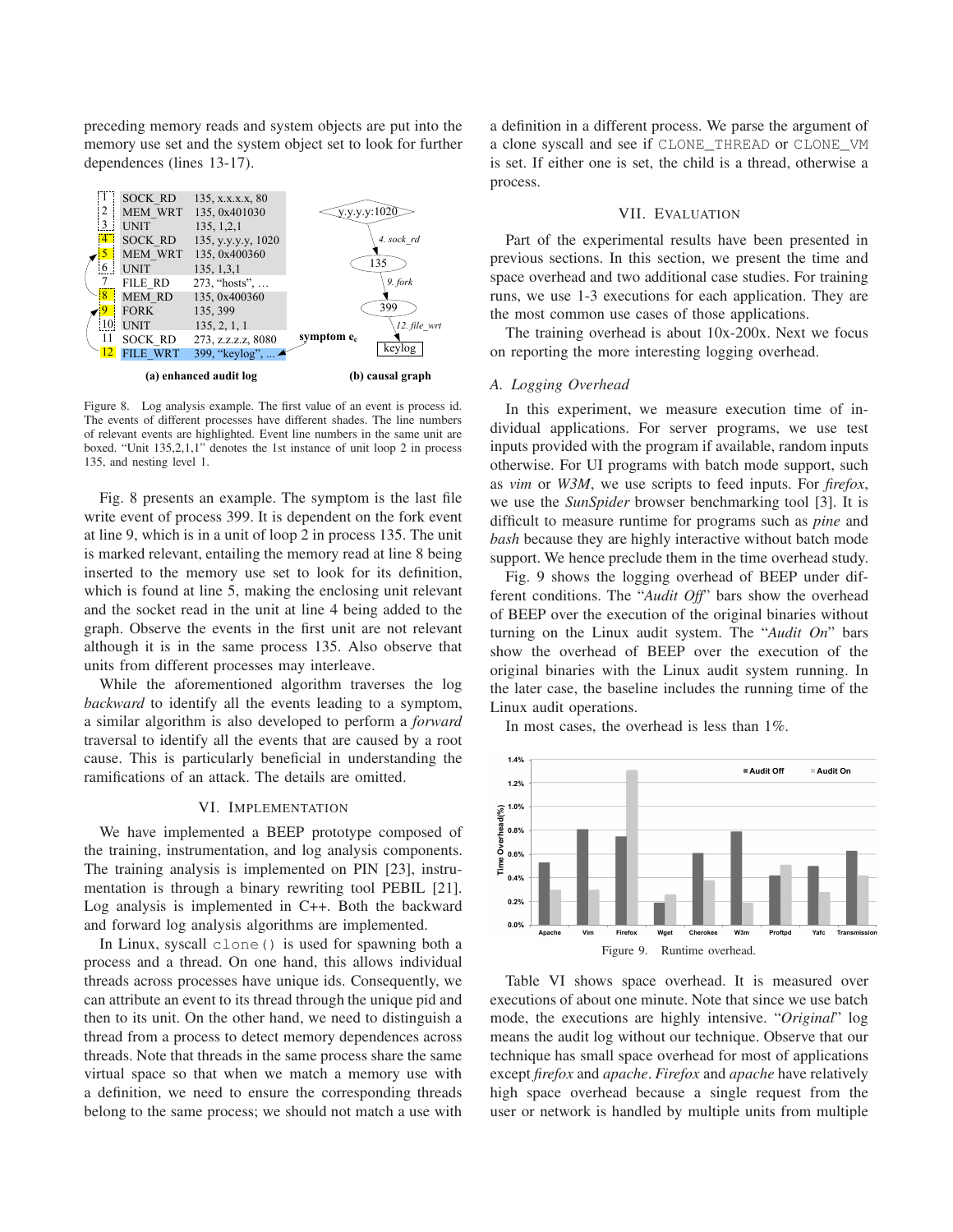preceding memory reads and system objects are put into the memory use set and the system object set to look for further dependences (lines 13-17).



Figure 8. Log analysis example. The first value of an event is process id. The events of different processes have different shades. The line numbers of relevant events are highlighted. Event line numbers in the same unit are boxed. "Unit 135,2,1,1" denotes the 1st instance of unit loop 2 in process 135, and nesting level 1.

Fig. 8 presents an example. The symptom is the last file write event of process 399. It is dependent on the fork event at line 9, which is in a unit of loop 2 in process 135. The unit is marked relevant, entailing the memory read at line 8 being inserted to the memory use set to look for its definition, which is found at line 5, making the enclosing unit relevant and the socket read in the unit at line 4 being added to the graph. Observe the events in the first unit are not relevant although it is in the same process 135. Also observe that units from different processes may interleave.

While the aforementioned algorithm traverses the log *backward* to identify all the events leading to a symptom, a similar algorithm is also developed to perform a *forward* traversal to identify all the events that are caused by a root cause. This is particularly beneficial in understanding the ramifications of an attack. The details are omitted.

#### VI. IMPLEMENTATION

We have implemented a BEEP prototype composed of the training, instrumentation, and log analysis components. The training analysis is implemented on PIN [23], instrumentation is through a binary rewriting tool PEBIL [21]. Log analysis is implemented in C++. Both the backward and forward log analysis algorithms are implemented.

In Linux, syscall clone() is used for spawning both a process and a thread. On one hand, this allows individual threads across processes have unique ids. Consequently, we can attribute an event to its thread through the unique pid and then to its unit. On the other hand, we need to distinguish a thread from a process to detect memory dependences across threads. Note that threads in the same process share the same virtual space so that when we match a memory use with a definition, we need to ensure the corresponding threads belong to the same process; we should not match a use with a definition in a different process. We parse the argument of a clone syscall and see if CLONE\_THREAD or CLONE\_VM is set. If either one is set, the child is a thread, otherwise a process.

## VII. EVALUATION

Part of the experimental results have been presented in previous sections. In this section, we present the time and space overhead and two additional case studies. For training runs, we use 1-3 executions for each application. They are the most common use cases of those applications.

The training overhead is about 10x-200x. Next we focus on reporting the more interesting logging overhead.

#### *A. Logging Overhead*

In this experiment, we measure execution time of individual applications. For server programs, we use test inputs provided with the program if available, random inputs otherwise. For UI programs with batch mode support, such as *vim* or *W3M*, we use scripts to feed inputs. For *firefox*, we use the *SunSpider* browser benchmarking tool [3]. It is difficult to measure runtime for programs such as *pine* and *bash* because they are highly interactive without batch mode support. We hence preclude them in the time overhead study.

Fig. 9 shows the logging overhead of BEEP under different conditions. The "*Audit Off*" bars show the overhead of BEEP over the execution of the original binaries without turning on the Linux audit system. The "*Audit On*" bars show the overhead of BEEP over the execution of the original binaries with the Linux audit system running. In the later case, the baseline includes the running time of the Linux audit operations.

In most cases, the overhead is less than 1%.



Table VI shows space overhead. It is measured over executions of about one minute. Note that since we use batch mode, the executions are highly intensive. "*Original*" log means the audit log without our technique. Observe that our technique has small space overhead for most of applications except *firefox* and *apache*. *Firefox* and *apache* have relatively high space overhead because a single request from the user or network is handled by multiple units from multiple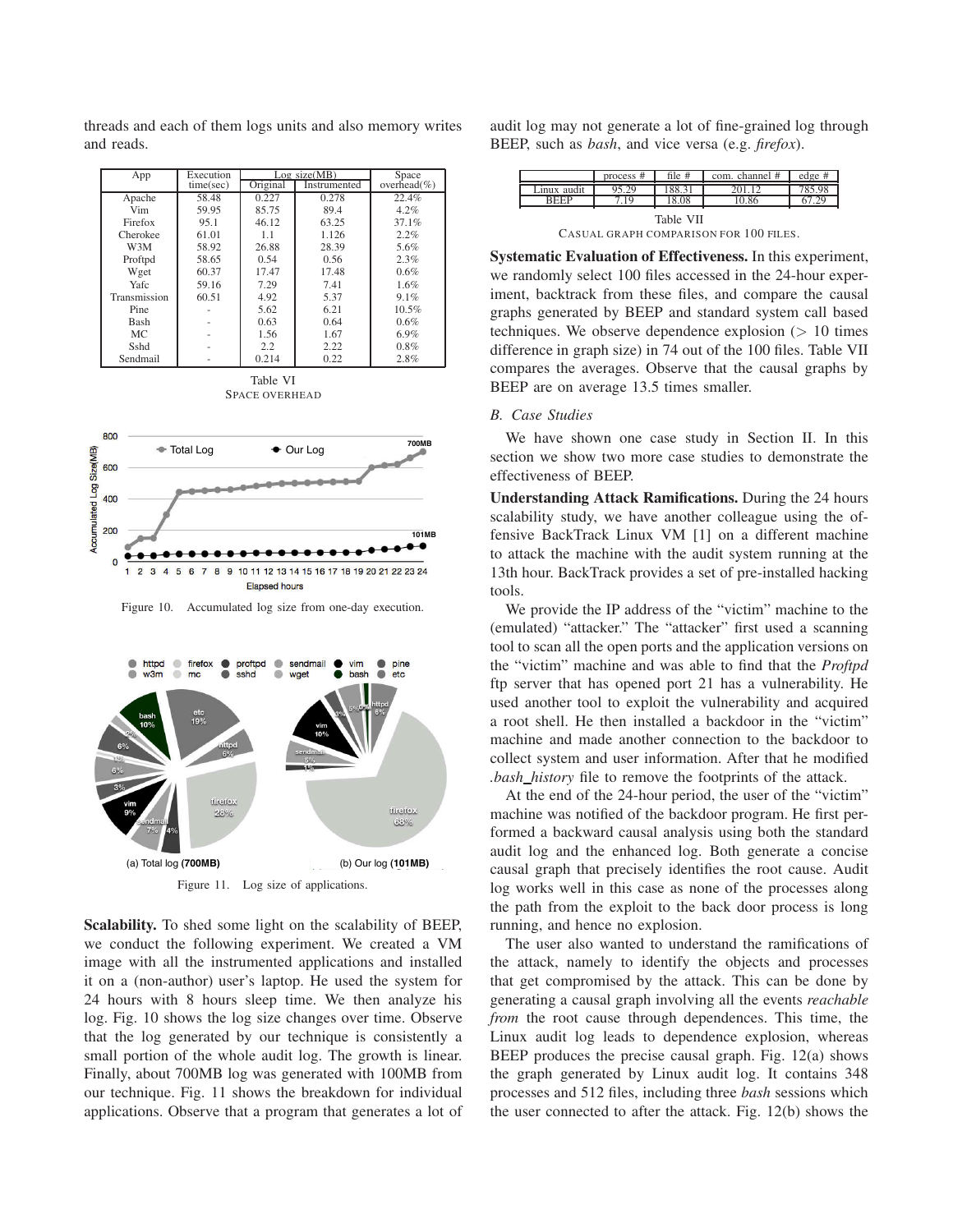| App          | Execution | Log size(MB) | Space        |                  |
|--------------|-----------|--------------|--------------|------------------|
|              | time(sec) | Original     | Instrumented | overhead $(\% )$ |
| Apache       | 58.48     | 0.227        | 0.278        | 22.4%            |
| Vim          | 59.95     | 85.75        | 89.4         | 4.2%             |
| Firefox      | 95.1      | 46.12        | 63.25        | 37.1%            |
| Cherokee     | 61.01     | 1.1          | 1.126        | 2.2%             |
| W3M          | 58.92     | 26.88        | 28.39        | 5.6%             |
| Proftpd      | 58.65     | 0.54         | 0.56         | 2.3%             |
| Wget         | 60.37     | 17.47        | 17.48        | 0.6%             |
| Yafc         | 59.16     | 7.29         | 7.41         | 1.6%             |
| Transmission | 60.51     | 4.92         | 5.37         | 9.1%             |
| Pine         |           | 5.62         | 6.21         | 10.5%            |
| <b>Bash</b>  |           | 0.63         | 0.64         | 0.6%             |
| MC.          |           | 1.56         | 1.67         | 6.9%             |
| Sshd         |           | 2.2          | 2.22         | 0.8%             |
| Sendmail     |           | 0.214        | 0.22         | 2.8%             |

threads and each of them logs units and also memory writes and reads.

Table VI SPACE OVERHEAD



Figure 10. Accumulated log size from one-day execution.



Figure 11. Log size of applications.

Scalability. To shed some light on the scalability of BEEP, we conduct the following experiment. We created a VM image with all the instrumented applications and installed it on a (non-author) user's laptop. He used the system for 24 hours with 8 hours sleep time. We then analyze his log. Fig. 10 shows the log size changes over time. Observe that the log generated by our technique is consistently a small portion of the whole audit log. The growth is linear. Finally, about 700MB log was generated with 100MB from our technique. Fig. 11 shows the breakdown for individual applications. Observe that a program that generates a lot of audit log may not generate a lot of fine-grained log through BEEP, such as *bash*, and vice versa (e.g. *firefox*).

|             | process # | file $#$  | com. channel #                         | edge#  |
|-------------|-----------|-----------|----------------------------------------|--------|
| Linux audit | 95.29     | 188.31    | 201 12                                 | 785.98 |
| <b>REFP</b> | 19        | 18.08     | 10.86                                  |        |
|             |           | Table VII |                                        |        |
|             |           |           | CASUAL GRAPH COMPARISON FOR 100 FILES. |        |

Systematic Evaluation of Effectiveness. In this experiment, we randomly select 100 files accessed in the 24-hour experiment, backtrack from these files, and compare the causal graphs generated by BEEP and standard system call based techniques. We observe dependence explosion  $(> 10$  times difference in graph size) in 74 out of the 100 files. Table VII compares the averages. Observe that the causal graphs by BEEP are on average 13.5 times smaller.

## *B. Case Studies*

We have shown one case study in Section II. In this section we show two more case studies to demonstrate the effectiveness of BEEP.

Understanding Attack Ramifications. During the 24 hours scalability study, we have another colleague using the offensive BackTrack Linux VM [1] on a different machine to attack the machine with the audit system running at the 13th hour. BackTrack provides a set of pre-installed hacking tools.

We provide the IP address of the "victim" machine to the (emulated) "attacker." The "attacker" first used a scanning tool to scan all the open ports and the application versions on the "victim" machine and was able to find that the *Proftpd* ftp server that has opened port 21 has a vulnerability. He used another tool to exploit the vulnerability and acquired a root shell. He then installed a backdoor in the "victim" machine and made another connection to the backdoor to collect system and user information. After that he modified *.bash history* file to remove the footprints of the attack.

At the end of the 24-hour period, the user of the "victim" machine was notified of the backdoor program. He first performed a backward causal analysis using both the standard audit log and the enhanced log. Both generate a concise causal graph that precisely identifies the root cause. Audit log works well in this case as none of the processes along the path from the exploit to the back door process is long running, and hence no explosion.

The user also wanted to understand the ramifications of the attack, namely to identify the objects and processes that get compromised by the attack. This can be done by generating a causal graph involving all the events *reachable from* the root cause through dependences. This time, the Linux audit log leads to dependence explosion, whereas BEEP produces the precise causal graph. Fig. 12(a) shows the graph generated by Linux audit log. It contains 348 processes and 512 files, including three *bash* sessions which the user connected to after the attack. Fig. 12(b) shows the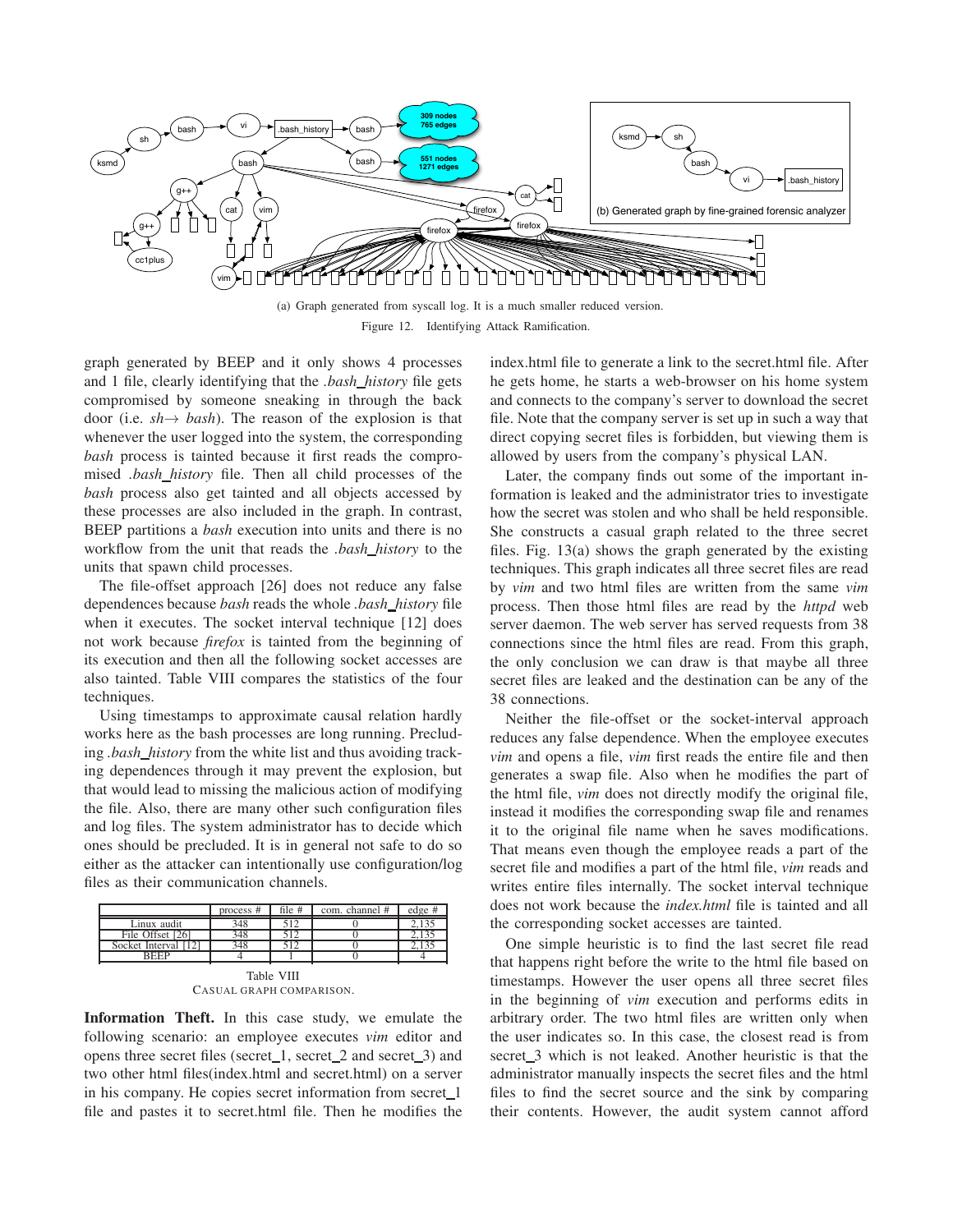

Figure 12. Identifying Attack Ramification.

graph generated by BEEP and it only shows 4 processes and 1 file, clearly identifying that the *.bash history* file gets compromised by someone sneaking in through the back door (i.e. *sh*→ *bash*). The reason of the explosion is that whenever the user logged into the system, the corresponding *bash* process is tainted because it first reads the compromised *.bash history* file. Then all child processes of the *bash* process also get tainted and all objects accessed by these processes are also included in the graph. In contrast, BEEP partitions a *bash* execution into units and there is no workflow from the unit that reads the *.bash history* to the units that spawn child processes.

The file-offset approach [26] does not reduce any false dependences because *bash* reads the whole *.bash history* file when it executes. The socket interval technique [12] does not work because *firefox* is tainted from the beginning of its execution and then all the following socket accesses are also tainted. Table VIII compares the statistics of the four techniques.

Using timestamps to approximate causal relation hardly works here as the bash processes are long running. Precluding *.bash history* from the white list and thus avoiding tracking dependences through it may prevent the explosion, but that would lead to missing the malicious action of modifying the file. Also, there are many other such configuration files and log files. The system administrator has to decide which ones should be precluded. It is in general not safe to do so either as the attacker can intentionally use configuration/log files as their communication channels.



Information Theft. In this case study, we emulate the following scenario: an employee executes *vim* editor and opens three secret files (secret\_1, secret\_2 and secret\_3) and two other html files(index.html and secret.html) on a server in his company. He copies secret information from secret\_1 file and pastes it to secret.html file. Then he modifies the

index.html file to generate a link to the secret.html file. After he gets home, he starts a web-browser on his home system and connects to the company's server to download the secret file. Note that the company server is set up in such a way that direct copying secret files is forbidden, but viewing them is allowed by users from the company's physical LAN.

Later, the company finds out some of the important information is leaked and the administrator tries to investigate how the secret was stolen and who shall be held responsible. She constructs a casual graph related to the three secret files. Fig. 13(a) shows the graph generated by the existing techniques. This graph indicates all three secret files are read by *vim* and two html files are written from the same *vim* process. Then those html files are read by the *httpd* web server daemon. The web server has served requests from 38 connections since the html files are read. From this graph, the only conclusion we can draw is that maybe all three secret files are leaked and the destination can be any of the 38 connections.

Neither the file-offset or the socket-interval approach reduces any false dependence. When the employee executes *vim* and opens a file, *vim* first reads the entire file and then generates a swap file. Also when he modifies the part of the html file, *vim* does not directly modify the original file, instead it modifies the corresponding swap file and renames it to the original file name when he saves modifications. That means even though the employee reads a part of the secret file and modifies a part of the html file, *vim* reads and writes entire files internally. The socket interval technique does not work because the *index.html* file is tainted and all the corresponding socket accesses are tainted.

One simple heuristic is to find the last secret file read that happens right before the write to the html file based on timestamps. However the user opens all three secret files in the beginning of *vim* execution and performs edits in arbitrary order. The two html files are written only when the user indicates so. In this case, the closest read is from secret 3 which is not leaked. Another heuristic is that the administrator manually inspects the secret files and the html files to find the secret source and the sink by comparing their contents. However, the audit system cannot afford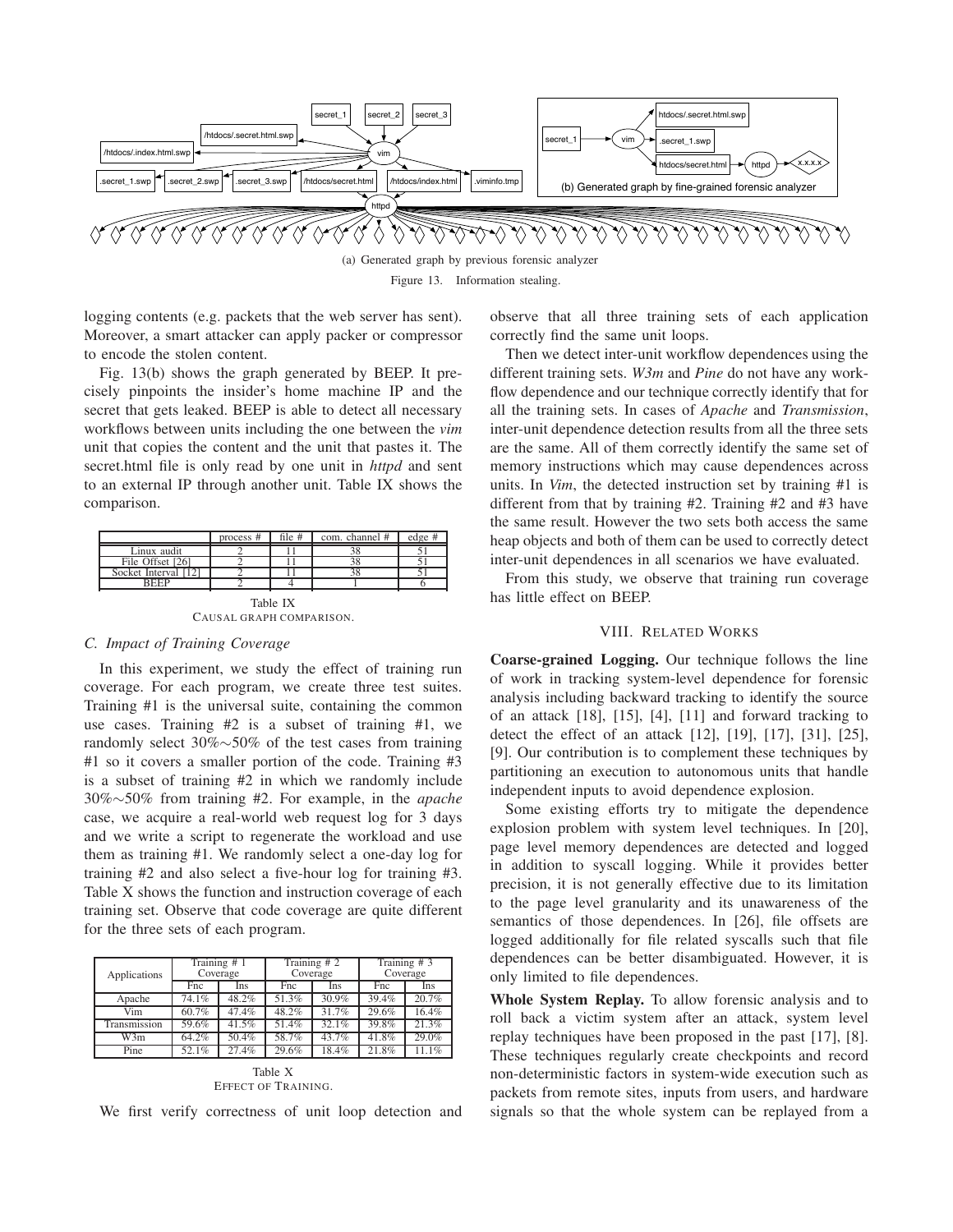

Figure 13. Information stealing.

logging contents (e.g. packets that the web server has sent). Moreover, a smart attacker can apply packer or compressor to encode the stolen content.

Fig. 13(b) shows the graph generated by BEEP. It precisely pinpoints the insider's home machine IP and the secret that gets leaked. BEEP is able to detect all necessary workflows between units including the one between the *vim* unit that copies the content and the unit that pastes it. The secret.html file is only read by one unit in *httpd* and sent to an external IP through another unit. Table IX shows the comparison.

|                                      | process # | file $#$ | com. channel # | edge# |  |  |
|--------------------------------------|-----------|----------|----------------|-------|--|--|
| Linux audit                          |           |          |                |       |  |  |
| File Offset [26]                     |           |          |                |       |  |  |
| Socket Interval [12]                 |           |          |                |       |  |  |
| <b>BEEP</b>                          |           |          |                |       |  |  |
| Table IX<br>CAUSAL GRAPH COMPARISON. |           |          |                |       |  |  |

## *C. Impact of Training Coverage*

In this experiment, we study the effect of training run coverage. For each program, we create three test suites. Training #1 is the universal suite, containing the common use cases. Training #2 is a subset of training #1, we randomly select 30%∼50% of the test cases from training #1 so it covers a smaller portion of the code. Training #3 is a subset of training #2 in which we randomly include 30%∼50% from training #2. For example, in the *apache* case, we acquire a real-world web request log for 3 days and we write a script to regenerate the workload and use them as training #1. We randomly select a one-day log for training #2 and also select a five-hour log for training #3. Table X shows the function and instruction coverage of each training set. Observe that code coverage are quite different for the three sets of each program.

| Applications | Training $#1$<br>Coverage |       | Training # 2<br>Coverage |       | Training # 3<br>Coverage |       |
|--------------|---------------------------|-------|--------------------------|-------|--------------------------|-------|
|              | Fnc                       | Ins   | Fnc                      | Ins   | Fnc                      | Ins   |
| Apache       | 74.1%                     | 48.2% | 51.3%                    | 30.9% | 39.4%                    | 20.7% |
| Vim          | 60.7%                     | 47.4% | 48.2%                    | 31.7% | 29.6%                    | 16.4% |
| Transmission | 59.6%                     | 41.5% | 51.4%                    | 32.1% | 39.8%                    | 21.3% |
| W3m          | 64.2%                     | 50.4% | 58.7%                    | 43.7% | 41.8%                    | 29.0% |
| Pine         | 52.1%                     | 27.4% | 29.6%                    | 18.4% | 21.8%                    | 11.1% |

Table X EFFECT OF TRAINING.

We first verify correctness of unit loop detection and

observe that all three training sets of each application correctly find the same unit loops.

Then we detect inter-unit workflow dependences using the different training sets. *W3m* and *Pine* do not have any workflow dependence and our technique correctly identify that for all the training sets. In cases of *Apache* and *Transmission*, inter-unit dependence detection results from all the three sets are the same. All of them correctly identify the same set of memory instructions which may cause dependences across units. In *Vim*, the detected instruction set by training #1 is different from that by training #2. Training #2 and #3 have the same result. However the two sets both access the same heap objects and both of them can be used to correctly detect inter-unit dependences in all scenarios we have evaluated.

From this study, we observe that training run coverage has little effect on BEEP.

## VIII. RELATED WORKS

Coarse-grained Logging. Our technique follows the line of work in tracking system-level dependence for forensic analysis including backward tracking to identify the source of an attack [18], [15], [4], [11] and forward tracking to detect the effect of an attack [12], [19], [17], [31], [25], [9]. Our contribution is to complement these techniques by partitioning an execution to autonomous units that handle independent inputs to avoid dependence explosion.

Some existing efforts try to mitigate the dependence explosion problem with system level techniques. In [20], page level memory dependences are detected and logged in addition to syscall logging. While it provides better precision, it is not generally effective due to its limitation to the page level granularity and its unawareness of the semantics of those dependences. In [26], file offsets are logged additionally for file related syscalls such that file dependences can be better disambiguated. However, it is only limited to file dependences.

Whole System Replay. To allow forensic analysis and to roll back a victim system after an attack, system level replay techniques have been proposed in the past [17], [8]. These techniques regularly create checkpoints and record non-deterministic factors in system-wide execution such as packets from remote sites, inputs from users, and hardware signals so that the whole system can be replayed from a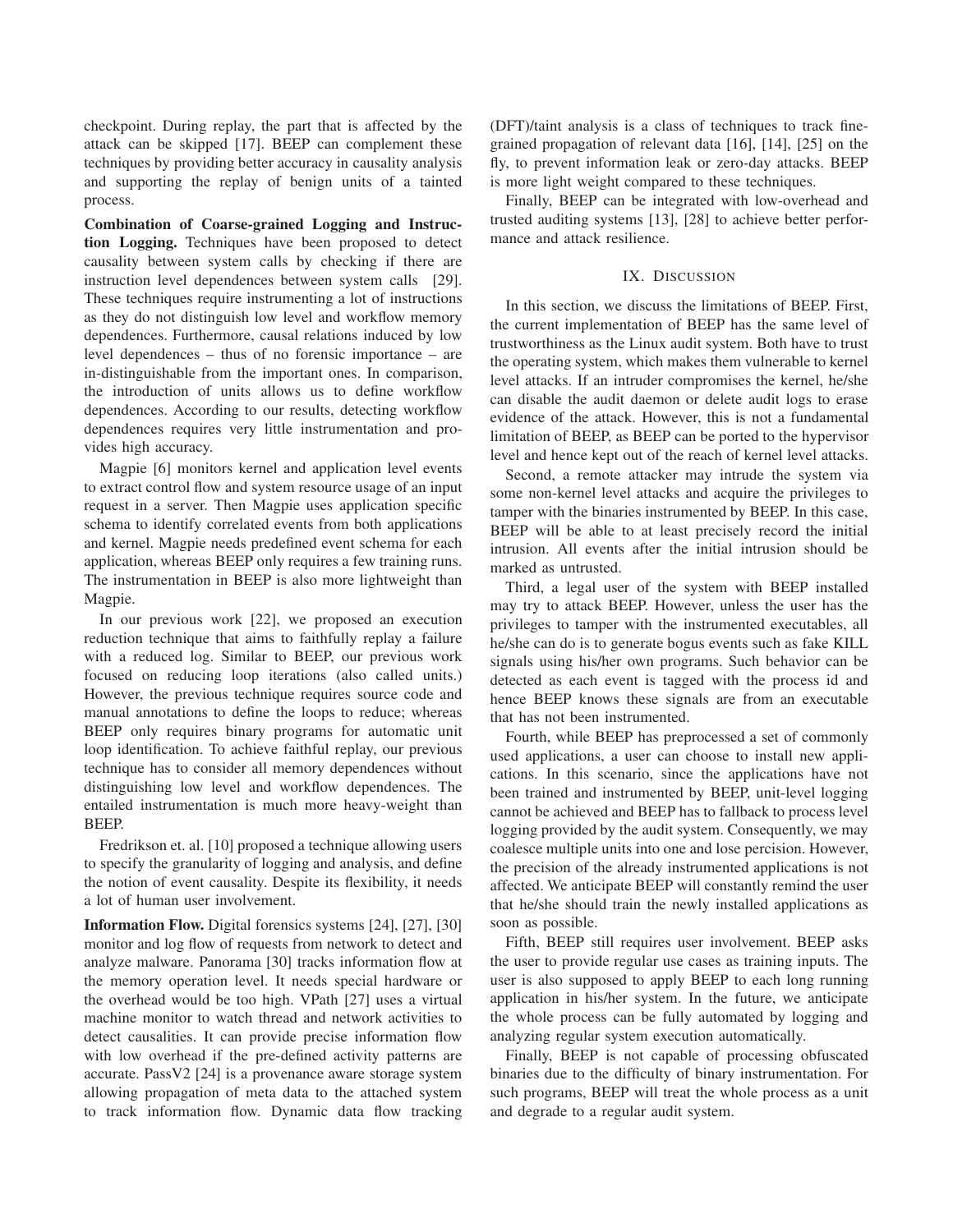checkpoint. During replay, the part that is affected by the attack can be skipped [17]. BEEP can complement these techniques by providing better accuracy in causality analysis and supporting the replay of benign units of a tainted process.

Combination of Coarse-grained Logging and Instruction Logging. Techniques have been proposed to detect causality between system calls by checking if there are instruction level dependences between system calls [29]. These techniques require instrumenting a lot of instructions as they do not distinguish low level and workflow memory dependences. Furthermore, causal relations induced by low level dependences – thus of no forensic importance – are in-distinguishable from the important ones. In comparison, the introduction of units allows us to define workflow dependences. According to our results, detecting workflow dependences requires very little instrumentation and provides high accuracy.

Magpie [6] monitors kernel and application level events to extract control flow and system resource usage of an input request in a server. Then Magpie uses application specific schema to identify correlated events from both applications and kernel. Magpie needs predefined event schema for each application, whereas BEEP only requires a few training runs. The instrumentation in BEEP is also more lightweight than Magpie.

In our previous work [22], we proposed an execution reduction technique that aims to faithfully replay a failure with a reduced log. Similar to BEEP, our previous work focused on reducing loop iterations (also called units.) However, the previous technique requires source code and manual annotations to define the loops to reduce; whereas BEEP only requires binary programs for automatic unit loop identification. To achieve faithful replay, our previous technique has to consider all memory dependences without distinguishing low level and workflow dependences. The entailed instrumentation is much more heavy-weight than BEEP.

Fredrikson et. al. [10] proposed a technique allowing users to specify the granularity of logging and analysis, and define the notion of event causality. Despite its flexibility, it needs a lot of human user involvement.

Information Flow. Digital forensics systems [24], [27], [30] monitor and log flow of requests from network to detect and analyze malware. Panorama [30] tracks information flow at the memory operation level. It needs special hardware or the overhead would be too high. VPath [27] uses a virtual machine monitor to watch thread and network activities to detect causalities. It can provide precise information flow with low overhead if the pre-defined activity patterns are accurate. PassV2 [24] is a provenance aware storage system allowing propagation of meta data to the attached system to track information flow. Dynamic data flow tracking (DFT)/taint analysis is a class of techniques to track finegrained propagation of relevant data [16], [14], [25] on the fly, to prevent information leak or zero-day attacks. BEEP is more light weight compared to these techniques.

Finally, BEEP can be integrated with low-overhead and trusted auditing systems [13], [28] to achieve better performance and attack resilience.

## IX. DISCUSSION

In this section, we discuss the limitations of BEEP. First, the current implementation of BEEP has the same level of trustworthiness as the Linux audit system. Both have to trust the operating system, which makes them vulnerable to kernel level attacks. If an intruder compromises the kernel, he/she can disable the audit daemon or delete audit logs to erase evidence of the attack. However, this is not a fundamental limitation of BEEP, as BEEP can be ported to the hypervisor level and hence kept out of the reach of kernel level attacks.

Second, a remote attacker may intrude the system via some non-kernel level attacks and acquire the privileges to tamper with the binaries instrumented by BEEP. In this case, BEEP will be able to at least precisely record the initial intrusion. All events after the initial intrusion should be marked as untrusted.

Third, a legal user of the system with BEEP installed may try to attack BEEP. However, unless the user has the privileges to tamper with the instrumented executables, all he/she can do is to generate bogus events such as fake KILL signals using his/her own programs. Such behavior can be detected as each event is tagged with the process id and hence BEEP knows these signals are from an executable that has not been instrumented.

Fourth, while BEEP has preprocessed a set of commonly used applications, a user can choose to install new applications. In this scenario, since the applications have not been trained and instrumented by BEEP, unit-level logging cannot be achieved and BEEP has to fallback to process level logging provided by the audit system. Consequently, we may coalesce multiple units into one and lose percision. However, the precision of the already instrumented applications is not affected. We anticipate BEEP will constantly remind the user that he/she should train the newly installed applications as soon as possible.

Fifth, BEEP still requires user involvement. BEEP asks the user to provide regular use cases as training inputs. The user is also supposed to apply BEEP to each long running application in his/her system. In the future, we anticipate the whole process can be fully automated by logging and analyzing regular system execution automatically.

Finally, BEEP is not capable of processing obfuscated binaries due to the difficulty of binary instrumentation. For such programs, BEEP will treat the whole process as a unit and degrade to a regular audit system.